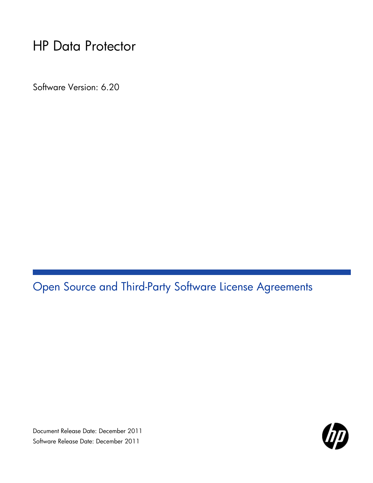# HP Data Protector

Software Version: 6.20

Open Source and Third-Party Software License Agreements

Document Release Date: December 2011 Software Release Date: December 2011

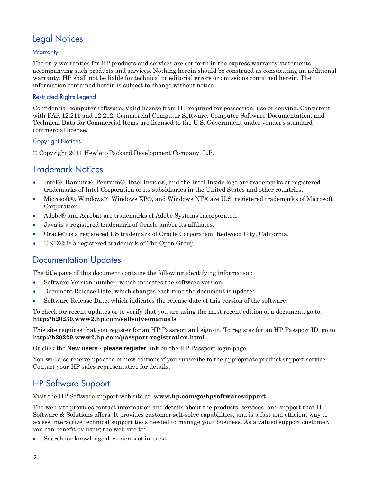### Legal Notices

#### **Warranty**

The only warranties for HP products and services are set forth in the express warranty statements accompanying such products and services. Nothing herein should be construed as constituting an additional warranty. HP shall not be liable for technical or editorial errors or omissions contained herein. The information contained herein is subject to change without notice.

#### Restricted Rights Legend

Confidential computer software. Valid license from HP required for possession, use or copying. Consistent with FAR 12.211 and 12.212, Commercial Computer Software, Computer Software Documentation, and Technical Data for Commercial Items are licensed to the U.S. Government under vendor's standard commercial license.

#### Copyright Notices

© Copyright 2011 Hewlett-Packard Development Company, L.P.

### Trademark Notices

- Intel®, Itanium®, Pentium®, Intel Inside®, and the Intel Inside logo are trademarks or registered trademarks of Intel Corporation or its subsidiaries in the United States and other countries.
- Microsoft®, Windows®, Windows XP®, and Windows NT® are U.S. registered trademarks of Microsoft Corporation.
- Adobe® and Acrobat are trademarks of Adobe Systems Incorporated.
- Java is a registered trademark of Oracle and/or its affiliates.
- Oracle® is a registered US trademark of Oracle Corporation, Redwood City, California.
- UNIX<sup>®</sup> is a registered trademark of The Open Group.

### Documentation Updates

The title page of this document contains the following identifying information:

- Software Version number, which indicates the software version.
- Document Release Date, which changes each time the document is updated.
- Software Release Date, which indicates the release date of this version of the software.

To check for recent updates or to verify that you are using the most recent edition of a document, go to: **<http://h20230.www2.hp.com/selfsolve/manuals>**

This site requires that you register for an HP Passport and sign-in. To register for an HP Passport ID, go to: **<http://h20229.www2.hp.com/passport-registration.html>**

Or click the **New users - please register** link on the HP Passport login page.

You will also receive updated or new editions if you subscribe to the appropriate product support service. Contact your HP sales representative for details.

### HP Software Support

Visit the HP Software support web site at: **[www.hp.com/go/hpsoftwaresupport](../Local%20Settings/mayjan/Application%20Data/Microsoft/Templates/LatestTemplates/HP/HP_110/www.hp.com/go/hpsoftwaresupport)**

The web site provides contact information and details about the products, services, and support that HP Software & Solutions offers. It provides customer self-solve capabilities, and is a fast and efficient way to access interactive technical support tools needed to manage your business. As a valued support customer, you can benefit by using the web site to:

Search for knowledge documents of interest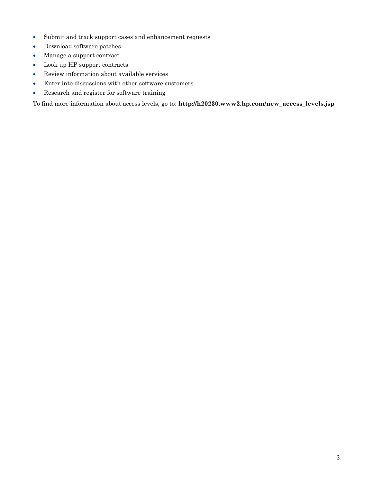- Submit and track support cases and enhancement requests
- Download software patches
- Manage a support contract
- Look up HP support contracts
- Review information about available services
- Enter into discussions with other software customers
- Research and register for software training

To find more information about access levels, go to: **http://h20230.www2.hp.com/new\_access\_levels.jsp**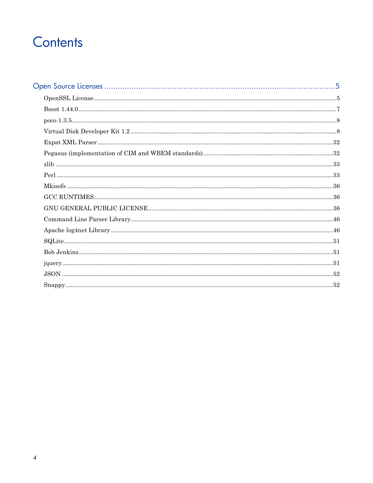# Contents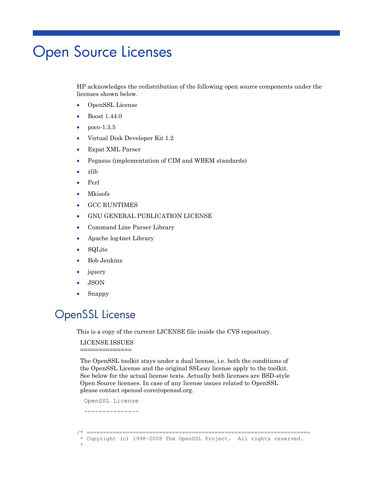# <span id="page-4-0"></span>Open Source Licenses

HP acknowledges the redistribution of the following open source components under the licenses shown below.

- OpenSSL License
- $\bullet$  Boost 1.44.0
- poco- $1.3.5$
- Virtual Disk Developer Kit 1.2
- Expat XML Parser
- Pegasus (implementation of CIM and WBEM standards)
- zlib
- Perl
- Mkisofs
- GCC RUNTIMES
- GNU GENERAL PUBLICATION LICENSE
- Command Line Parser Library
- Apache log4net Library
- SQLite
- Bob Jenkins
- jquery
- JSON
- Snappy

## <span id="page-4-1"></span>OpenSSL License

\*

This is a copy of the current LICENSE file inside the CVS repository.

#### LICENSE ISSUES ==============

 The OpenSSL toolkit stays under a dual license, i.e. both the conditions of the OpenSSL License and the original SSLeay license apply to the toolkit. See below for the actual license texts. Actually both licenses are BSD-style Open Source licenses. In case of any license issues related to OpenSSL please contact openssl-core@openssl.org.

 OpenSSL License --------------- /\* ==================================================================== \* Copyright (c) 1998-2008 The OpenSSL Project. All rights reserved.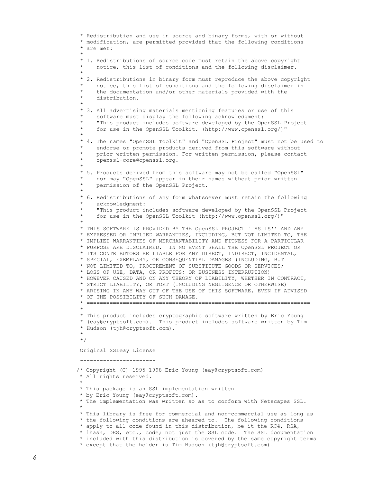```
* Redistribution and use in source and binary forms, with or without
 * modification, are permitted provided that the following conditions
 * are met:
 *
 * 1. Redistributions of source code must retain the above copyright
     notice, this list of conditions and the following disclaimer.
 *
 * 2. Redistributions in binary form must reproduce the above copyright
     notice, this list of conditions and the following disclaimer in
     the documentation and/or other materials provided with the
     distribution.
 *
 * 3. All advertising materials mentioning features or use of this
      software must display the following acknowledgment:
      * "This product includes software developed by the OpenSSL Project
     for use in the OpenSSL Toolkit. (http://www.openssl.org/)"
 *
 * 4. The names "OpenSSL Toolkit" and "OpenSSL Project" must not be used to
      endorse or promote products derived from this software without
     prior written permission. For written permission, please contact
     openssl-core@openssl.org.
 *
 * 5. Products derived from this software may not be called "OpenSSL"
     nor may "OpenSSL" appear in their names without prior written
     permission of the OpenSSL Project.
 *
 * 6. Redistributions of any form whatsoever must retain the following
     acknowledgment:
      * "This product includes software developed by the OpenSSL Project
     for use in the OpenSSL Toolkit (http://www.openssl.org/)"
 *
* THIS SOFTWARE IS PROVIDED BY THE OpenSSL PROJECT ``AS IS'' AND ANY
 * EXPRESSED OR IMPLIED WARRANTIES, INCLUDING, BUT NOT LIMITED TO, THE
 * IMPLIED WARRANTIES OF MERCHANTABILITY AND FITNESS FOR A PARTICULAR
 * PURPOSE ARE DISCLAIMED. IN NO EVENT SHALL THE OpenSSL PROJECT OR
 * ITS CONTRIBUTORS BE LIABLE FOR ANY DIRECT, INDIRECT, INCIDENTAL,
 * SPECIAL, EXEMPLARY, OR CONSEQUENTIAL DAMAGES (INCLUDING, BUT
 * NOT LIMITED TO, PROCUREMENT OF SUBSTITUTE GOODS OR SERVICES;
 * LOSS OF USE, DATA, OR PROFITS; OR BUSINESS INTERRUPTION)
* HOWEVER CAUSED AND ON ANY THEORY OF LIABILITY, WHETHER IN CONTRACT,
 * STRICT LIABILITY, OR TORT (INCLUDING NEGLIGENCE OR OTHERWISE)
 * ARISING IN ANY WAY OUT OF THE USE OF THIS SOFTWARE, EVEN IF ADVISED
* OF THE POSSIBILITY OF SUCH DAMAGE.
 * ====================================================================
 *
 * This product includes cryptographic software written by Eric Young
* (eay@cryptsoft.com). This product includes software written by Tim
 * Hudson (tjh@cryptsoft.com).
 *
*/
Original SSLeay License
 -----------------------
/* Copyright (C) 1995-1998 Eric Young (eay@cryptsoft.com)
* All rights reserved.
 *
* This package is an SSL implementation written
* by Eric Young (eay@cryptsoft.com).
 * The implementation was written so as to conform with Netscapes SSL.
 *
* This library is free for commercial and non-commercial use as long as
* the following conditions are aheared to. The following conditions
* apply to all code found in this distribution, be it the RC4, RSA,
 * lhash, DES, etc., code; not just the SSL code. The SSL documentation
 * included with this distribution is covered by the same copyright terms
* except that the holder is Tim Hudson (tjh@cryptsoft.com).
```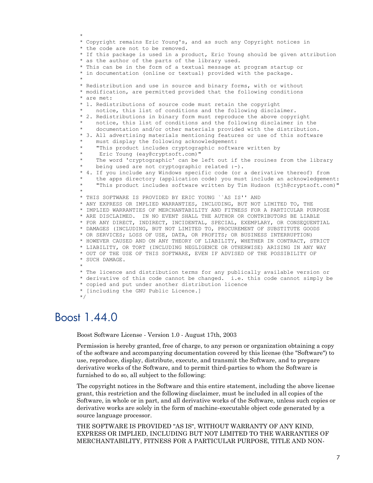```
*
* Copyright remains Eric Young's, and as such any Copyright notices in
* the code are not to be removed.
* If this package is used in a product, Eric Young should be given attribution
* as the author of the parts of the library used.
* This can be in the form of a textual message at program startup or
* in documentation (online or textual) provided with the package.
*
* Redistribution and use in source and binary forms, with or without
* modification, are permitted provided that the following conditions
* are met:
* 1. Redistributions of source code must retain the copyright
    notice, this list of conditions and the following disclaimer.
* 2. Redistributions in binary form must reproduce the above copyright
     notice, this list of conditions and the following disclaimer in the
     documentation and/or other materials provided with the distribution.
* 3. All advertising materials mentioning features or use of this software
     must display the following acknowledgement:
     "This product includes cryptographic software written by
     Eric Young (eay@cryptsoft.com)"
     The word 'cryptographic' can be left out if the rouines from the library
     being used are not cryptographic related :-).
* 4. If you include any Windows specific code (or a derivative thereof) from
     the apps directory (application code) you must include an acknowledgement:
     "This product includes software written by Tim Hudson (tjh@cryptsoft.com)"
*
* THIS SOFTWARE IS PROVIDED BY ERIC YOUNG ``AS IS'' AND
* ANY EXPRESS OR IMPLIED WARRANTIES, INCLUDING, BUT NOT LIMITED TO, THE
* IMPLIED WARRANTIES OF MERCHANTABILITY AND FITNESS FOR A PARTICULAR PURPOSE
* ARE DISCLAIMED. IN NO EVENT SHALL THE AUTHOR OR CONTRIBUTORS BE LIABLE
* FOR ANY DIRECT, INDIRECT, INCIDENTAL, SPECIAL, EXEMPLARY, OR CONSEQUENTIAL
* DAMAGES (INCLUDING, BUT NOT LIMITED TO, PROCUREMENT OF SUBSTITUTE GOODS
* OR SERVICES; LOSS OF USE, DATA, OR PROFITS; OR BUSINESS INTERRUPTION)
* HOWEVER CAUSED AND ON ANY THEORY OF LIABILITY, WHETHER IN CONTRACT, STRICT
* LIABILITY, OR TORT (INCLUDING NEGLIGENCE OR OTHERWISE) ARISING IN ANY WAY
* OUT OF THE USE OF THIS SOFTWARE, EVEN IF ADVISED OF THE POSSIBILITY OF
* SUCH DAMAGE.
*
* The licence and distribution terms for any publically available version or
* derivative of this code cannot be changed. i.e. this code cannot simply be
* copied and put under another distribution licence
* [including the GNU Public Licence.]
*/
```
### <span id="page-6-0"></span>Boost 1.44.0

Boost Software License - Version 1.0 - August 17th, 2003

Permission is hereby granted, free of charge, to any person or organization obtaining a copy of the software and accompanying documentation covered by this license (the "Software") to use, reproduce, display, distribute, execute, and transmit the Software, and to prepare derivative works of the Software, and to permit third-parties to whom the Software is furnished to do so, all subject to the following:

The copyright notices in the Software and this entire statement, including the above license grant, this restriction and the following disclaimer, must be included in all copies of the Software, in whole or in part, and all derivative works of the Software, unless such copies or derivative works are solely in the form of machine-executable object code generated by a source language processor.

THE SOFTWARE IS PROVIDED "AS IS", WITHOUT WARRANTY OF ANY KIND, EXPRESS OR IMPLIED, INCLUDING BUT NOT LIMITED TO THE WARRANTIES OF MERCHANTABILITY, FITNESS FOR A PARTICULAR PURPOSE, TITLE AND NON-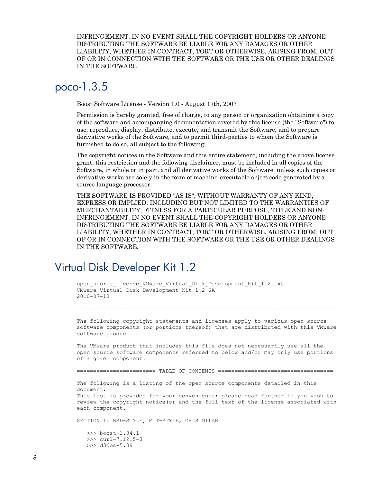INFRINGEMENT. IN NO EVENT SHALL THE COPYRIGHT HOLDERS OR ANYONE DISTRIBUTING THE SOFTWARE BE LIABLE FOR ANY DAMAGES OR OTHER LIABILITY, WHETHER IN CONTRACT, TORT OR OTHERWISE, ARISING FROM, OUT OF OR IN CONNECTION WITH THE SOFTWARE OR THE USE OR OTHER DEALINGS IN THE SOFTWARE.

### <span id="page-7-0"></span>poco-1.3.5

Boost Software License - Version 1.0 - August 17th, 2003

Permission is hereby granted, free of charge, to any person or organization obtaining a copy of the software and accompanying documentation covered by this license (the "Software") to use, reproduce, display, distribute, execute, and transmit the Software, and to prepare derivative works of the Software, and to permit third-parties to whom the Software is furnished to do so, all subject to the following:

The copyright notices in the Software and this entire statement, including the above license grant, this restriction and the following disclaimer, must be included in all copies of the Software, in whole or in part, and all derivative works of the Software, unless such copies or derivative works are solely in the form of machine-executable object code generated by a source language processor.

THE SOFTWARE IS PROVIDED "AS IS", WITHOUT WARRANTY OF ANY KIND, EXPRESS OR IMPLIED, INCLUDING BUT NOT LIMITED TO THE WARRANTIES OF MERCHANTABILITY, FITNESS FOR A PARTICULAR PURPOSE, TITLE AND NON-INFRINGEMENT. IN NO EVENT SHALL THE COPYRIGHT HOLDERS OR ANYONE DISTRIBUTING THE SOFTWARE BE LIABLE FOR ANY DAMAGES OR OTHER LIABILITY, WHETHER IN CONTRACT, TORT OR OTHERWISE, ARISING FROM, OUT OF OR IN CONNECTION WITH THE SOFTWARE OR THE USE OR OTHER DEALINGS IN THE SOFTWARE.

## <span id="page-7-1"></span>Virtual Disk Developer Kit 1.2

open source license VMware Virtual Disk Development Kit 1.2.txt VMware Virtual Disk Development Kit 1.2 GA 2010-07-13

The following copyright statements and licenses apply to various open source software components (or portions thereof) that are distributed with this VMware software product.

==============================================================================

The VMware product that includes this file does not necessarily use all the open source software components referred to below and/or may only use portions of a given component.

======================== TABLE OF CONTENTS ===================================

The following is a listing of the open source components detailed in this document.

This list is provided for your convenience; please read further if you wish to review the copyright notice(s) and the full text of the license associated with each component.

SECTION 1: BSD-STYLE, MIT-STYLE, OR SIMILAR

 >>> boost-1.34.1 >>> curl-7.19.5-3 >>> d3des-5.09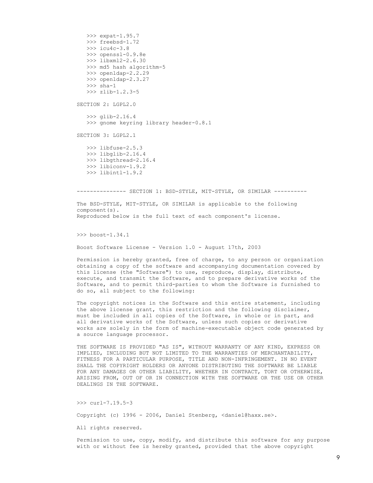```
 >>> expat-1.95.7
    >>> freebsd-1.72
    >>> icu4c-3.8
    >>> openssl-0.9.8e
    >>> libxml2-2.6.30
    >>> md5 hash algorithm-5
    >>> openldap-2.2.29
    >>> openldap-2.3.27
   \gg \gg \sim \sim \sim \sim \sim \sim >>> zlib-1.2.3-5
SECTION 2: LGPL2.0
    >>> glib-2.16.4
    >>> gnome keyring library header-0.8.1
SECTION 3: LGPL2.1
    >>> libfuse-2.5.3
    >>> libglib-2.16.4
    >>> libgthread-2.16.4
    >>> libiconv-1.9.2
    >>> libintl-1.9.2
--------------- SECTION 1: BSD-STYLE, MIT-STYLE, OR SIMILAR ----------
The BSD-STYLE, MIT-STYLE, OR SIMILAR is applicable to the following 
component(s).
Reproduced below is the full text of each component's license.
```
>>> boost-1.34.1

Boost Software License - Version 1.0 - August 17th, 2003

Permission is hereby granted, free of charge, to any person or organization obtaining a copy of the software and accompanying documentation covered by this license (the "Software") to use, reproduce, display, distribute, execute, and transmit the Software, and to prepare derivative works of the Software, and to permit third-parties to whom the Software is furnished to do so, all subject to the following:

The copyright notices in the Software and this entire statement, including the above license grant, this restriction and the following disclaimer, must be included in all copies of the Software, in whole or in part, and all derivative works of the Software, unless such copies or derivative works are solely in the form of machine-executable object code generated by a source language processor.

THE SOFTWARE IS PROVIDED "AS IS", WITHOUT WARRANTY OF ANY KIND, EXPRESS OR IMPLIED, INCLUDING BUT NOT LIMITED TO THE WARRANTIES OF MERCHANTABILITY, FITNESS FOR A PARTICULAR PURPOSE, TITLE AND NON-INFRINGEMENT. IN NO EVENT SHALL THE COPYRIGHT HOLDERS OR ANYONE DISTRIBUTING THE SOFTWARE BE LIABLE FOR ANY DAMAGES OR OTHER LIABILITY, WHETHER IN CONTRACT, TORT OR OTHERWISE, ARISING FROM, OUT OF OR IN CONNECTION WITH THE SOFTWARE OR THE USE OR OTHER DEALINGS IN THE SOFTWARE.

>>> curl-7.19.5-3

Copyright (c) 1996 - 2006, Daniel Stenberg, <daniel@haxx.se>.

All rights reserved.

Permission to use, copy, modify, and distribute this software for any purpose with or without fee is hereby granted, provided that the above copyright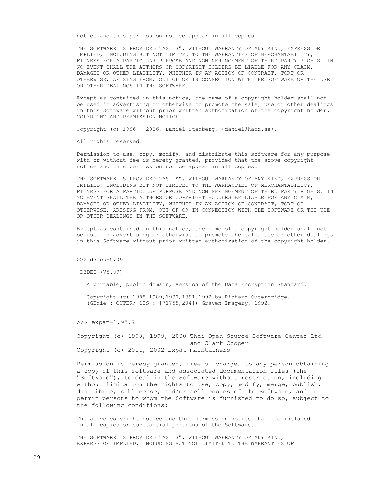notice and this permission notice appear in all copies.

THE SOFTWARE IS PROVIDED "AS IS", WITHOUT WARRANTY OF ANY KIND, EXPRESS OR IMPLIED, INCLUDING BUT NOT LIMITED TO THE WARRANTIES OF MERCHANTABILITY, FITNESS FOR A PARTICULAR PURPOSE AND NONINFRINGEMENT OF THIRD PARTY RIGHTS. IN NO EVENT SHALL THE AUTHORS OR COPYRIGHT HOLDERS BE LIABLE FOR ANY CLAIM, DAMAGES OR OTHER LIABILITY, WHETHER IN AN ACTION OF CONTRACT, TORT OR OTHERWISE, ARISING FROM, OUT OF OR IN CONNECTION WITH THE SOFTWARE OR THE USE OR OTHER DEALINGS IN THE SOFTWARE.

Except as contained in this notice, the name of a copyright holder shall not be used in advertising or otherwise to promote the sale, use or other dealings in this Software without prior written authorization of the copyright holder. COPYRIGHT AND PERMISSION NOTICE

Copyright (c) 1996 - 2006, Daniel Stenberg, <daniel@haxx.se>.

All rights reserved.

Permission to use, copy, modify, and distribute this software for any purpose with or without fee is hereby granted, provided that the above copyright notice and this permission notice appear in all copies.

THE SOFTWARE IS PROVIDED "AS IS", WITHOUT WARRANTY OF ANY KIND, EXPRESS OR IMPLIED, INCLUDING BUT NOT LIMITED TO THE WARRANTIES OF MERCHANTABILITY, FITNESS FOR A PARTICULAR PURPOSE AND NONINFRINGEMENT OF THIRD PARTY RIGHTS. IN NO EVENT SHALL THE AUTHORS OR COPYRIGHT HOLDERS BE LIABLE FOR ANY CLAIM, DAMAGES OR OTHER LIABILITY, WHETHER IN AN ACTION OF CONTRACT, TORT OR OTHERWISE, ARISING FROM, OUT OF OR IN CONNECTION WITH THE SOFTWARE OR THE USE OR OTHER DEALINGS IN THE SOFTWARE.

Except as contained in this notice, the name of a copyright holder shall not be used in advertising or otherwise to promote the sale, use or other dealings in this Software without prior written authorization of the copyright holder.

>>> d3des-5.09

D3DES (V5.09) -

A portable, public domain, version of the Data Encryption Standard.

 Copyright (c) 1988,1989,1990,1991,1992 by Richard Outerbridge. (GEnie : OUTER; CIS : [71755,204]) Graven Imagery, 1992.

>>> expat-1.95.7

Copyright (c) 1998, 1999, 2000 Thai Open Source Software Center Ltd and Clark Cooper Copyright (c) 2001, 2002 Expat maintainers.

Permission is hereby granted, free of charge, to any person obtaining a copy of this software and associated documentation files (the "Software"), to deal in the Software without restriction, including without limitation the rights to use, copy, modify, merge, publish, distribute, sublicense, and/or sell copies of the Software, and to permit persons to whom the Software is furnished to do so, subject to the following conditions:

The above copyright notice and this permission notice shall be included in all copies or substantial portions of the Software.

THE SOFTWARE IS PROVIDED "AS IS", WITHOUT WARRANTY OF ANY KIND, EXPRESS OR IMPLIED, INCLUDING BUT NOT LIMITED TO THE WARRANTIES OF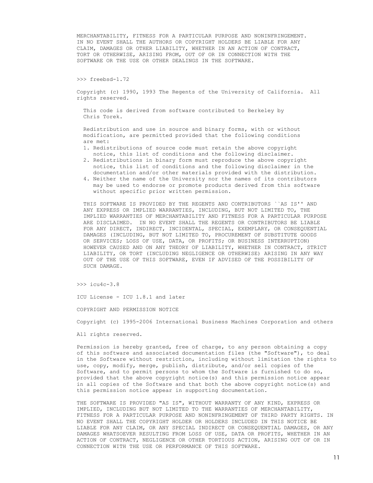MERCHANTABILITY, FITNESS FOR A PARTICULAR PURPOSE AND NONINFRINGEMENT. IN NO EVENT SHALL THE AUTHORS OR COPYRIGHT HOLDERS BE LIABLE FOR ANY CLAIM, DAMAGES OR OTHER LIABILITY, WHETHER IN AN ACTION OF CONTRACT, TORT OR OTHERWISE, ARISING FROM, OUT OF OR IN CONNECTION WITH THE SOFTWARE OR THE USE OR OTHER DEALINGS IN THE SOFTWARE.

>>> freebsd-1.72

Copyright (c) 1990, 1993 The Regents of the University of California. All rights reserved.

 This code is derived from software contributed to Berkeley by Chris Torek.

 Redistribution and use in source and binary forms, with or without modification, are permitted provided that the following conditions are met:

- 1. Redistributions of source code must retain the above copyright notice, this list of conditions and the following disclaimer.
- 2. Redistributions in binary form must reproduce the above copyright notice, this list of conditions and the following disclaimer in the documentation and/or other materials provided with the distribution.
- 4. Neither the name of the University nor the names of its contributors may be used to endorse or promote products derived from this software without specific prior written permission.

 THIS SOFTWARE IS PROVIDED BY THE REGENTS AND CONTRIBUTORS ``AS IS'' AND ANY EXPRESS OR IMPLIED WARRANTIES, INCLUDING, BUT NOT LIMITED TO, THE IMPLIED WARRANTIES OF MERCHANTABILITY AND FITNESS FOR A PARTICULAR PURPOSE ARE DISCLAIMED. IN NO EVENT SHALL THE REGENTS OR CONTRIBUTORS BE LIABLE FOR ANY DIRECT, INDIRECT, INCIDENTAL, SPECIAL, EXEMPLARY, OR CONSEQUENTIAL DAMAGES (INCLUDING, BUT NOT LIMITED TO, PROCUREMENT OF SUBSTITUTE GOODS OR SERVICES; LOSS OF USE, DATA, OR PROFITS; OR BUSINESS INTERRUPTION) HOWEVER CAUSED AND ON ANY THEORY OF LIABILITY, WHETHER IN CONTRACT, STRICT LIABILITY, OR TORT (INCLUDING NEGLIGENCE OR OTHERWISE) ARISING IN ANY WAY OUT OF THE USE OF THIS SOFTWARE, EVEN IF ADVISED OF THE POSSIBILITY OF SUCH DAMAGE.

>>> icu4c-3.8

ICU License - ICU 1.8.1 and later

COPYRIGHT AND PERMISSION NOTICE

Copyright (c) 1995-2006 International Business Machines Corporation and others

All rights reserved.

Permission is hereby granted, free of charge, to any person obtaining a copy of this software and associated documentation files (the "Software"), to deal in the Software without restriction, including without limitation the rights to use, copy, modify, merge, publish, distribute, and/or sell copies of the Software, and to permit persons to whom the Software is furnished to do so, provided that the above copyright notice(s) and this permission notice appear in all copies of the Software and that both the above copyright notice(s) and this permission notice appear in supporting documentation.

THE SOFTWARE IS PROVIDED "AS IS", WITHOUT WARRANTY OF ANY KIND, EXPRESS OR IMPLIED, INCLUDING BUT NOT LIMITED TO THE WARRANTIES OF MERCHANTABILITY, FITNESS FOR A PARTICULAR PURPOSE AND NONINFRINGEMENT OF THIRD PARTY RIGHTS. IN NO EVENT SHALL THE COPYRIGHT HOLDER OR HOLDERS INCLUDED IN THIS NOTICE BE LIABLE FOR ANY CLAIM, OR ANY SPECIAL INDIRECT OR CONSEQUENTIAL DAMAGES, OR ANY DAMAGES WHATSOEVER RESULTING FROM LOSS OF USE, DATA OR PROFITS, WHETHER IN AN ACTION OF CONTRACT, NEGLIGENCE OR OTHER TORTIOUS ACTION, ARISING OUT OF OR IN CONNECTION WITH THE USE OR PERFORMANCE OF THIS SOFTWARE.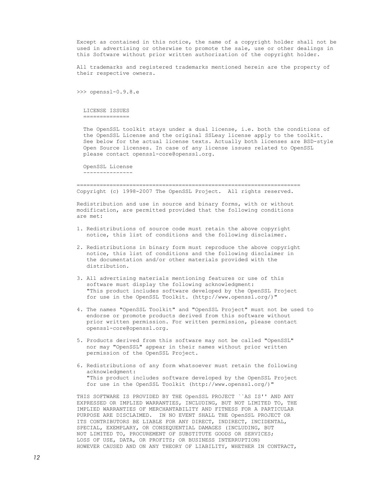Except as contained in this notice, the name of a copyright holder shall not be used in advertising or otherwise to promote the sale, use or other dealings in this Software without prior written authorization of the copyright holder.

All trademarks and registered trademarks mentioned herein are the property of their respective owners.

>>> openssl-0.9.8.e

 LICENSE ISSUES ==============

The OpenSSL toolkit stays under a dual license, i.e. both the conditions of the OpenSSL License and the original SSLeay license apply to the toolkit. See below for the actual license texts. Actually both licenses are BSD-style Open Source licenses. In case of any license issues related to OpenSSL please contact openssl-core@openssl.org.

 OpenSSL License ---------------

==================================================================== Copyright (c) 1998-2007 The OpenSSL Project. All rights reserved.

Redistribution and use in source and binary forms, with or without modification, are permitted provided that the following conditions are met:

- 1. Redistributions of source code must retain the above copyright notice, this list of conditions and the following disclaimer.
- 2. Redistributions in binary form must reproduce the above copyright notice, this list of conditions and the following disclaimer in the documentation and/or other materials provided with the distribution.
- 3. All advertising materials mentioning features or use of this software must display the following acknowledgment: "This product includes software developed by the OpenSSL Project for use in the OpenSSL Toolkit. (http://www.openssl.org/)"
- 4. The names "OpenSSL Toolkit" and "OpenSSL Project" must not be used to endorse or promote products derived from this software without prior written permission. For written permission, please contact openssl-core@openssl.org.
- 5. Products derived from this software may not be called "OpenSSL" nor may "OpenSSL" appear in their names without prior written permission of the OpenSSL Project.
- 6. Redistributions of any form whatsoever must retain the following acknowledgment: "This product includes software developed by the OpenSSL Project for use in the OpenSSL Toolkit (http://www.openssl.org/)"

THIS SOFTWARE IS PROVIDED BY THE OpenSSL PROJECT ``AS IS'' AND ANY EXPRESSED OR IMPLIED WARRANTIES, INCLUDING, BUT NOT LIMITED TO, THE IMPLIED WARRANTIES OF MERCHANTABILITY AND FITNESS FOR A PARTICULAR PURPOSE ARE DISCLAIMED. IN NO EVENT SHALL THE OpenSSL PROJECT OR ITS CONTRIBUTORS BE LIABLE FOR ANY DIRECT, INDIRECT, INCIDENTAL, SPECIAL, EXEMPLARY, OR CONSEQUENTIAL DAMAGES (INCLUDING, BUT NOT LIMITED TO, PROCUREMENT OF SUBSTITUTE GOODS OR SERVICES; LOSS OF USE, DATA, OR PROFITS; OR BUSINESS INTERRUPTION) HOWEVER CAUSED AND ON ANY THEORY OF LIABILITY, WHETHER IN CONTRACT,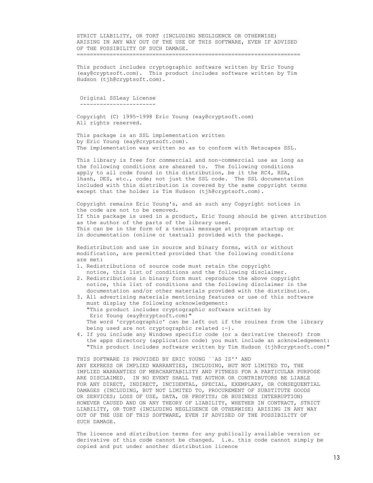STRICT LIABILITY, OR TORT (INCLUDING NEGLIGENCE OR OTHERWISE) ARISING IN ANY WAY OUT OF THE USE OF THIS SOFTWARE, EVEN IF ADVISED OF THE POSSIBILITY OF SUCH DAMAGE. ====================================================================

This product includes cryptographic software written by Eric Young (eay@cryptsoft.com). This product includes software written by Tim Hudson (tjh@cryptsoft.com).

Original SSLeay License -----------------------

Copyright (C) 1995-1998 Eric Young (eay@cryptsoft.com) All rights reserved.

This package is an SSL implementation written by Eric Young (eay@cryptsoft.com). The implementation was written so as to conform with Netscapes SSL.

This library is free for commercial and non-commercial use as long as the following conditions are aheared to. The following conditions apply to all code found in this distribution, be it the RC4, RSA, lhash, DES, etc., code; not just the SSL code. The SSL documentation included with this distribution is covered by the same copyright terms except that the holder is Tim Hudson (tjh@cryptsoft.com).

Copyright remains Eric Young's, and as such any Copyright notices in the code are not to be removed. If this package is used in a product, Eric Young should be given attribution as the author of the parts of the library used. This can be in the form of a textual message at program startup or in documentation (online or textual) provided with the package.

Redistribution and use in source and binary forms, with or without modification, are permitted provided that the following conditions are met:

- 1. Redistributions of source code must retain the copyright notice, this list of conditions and the following disclaimer.
- 2. Redistributions in binary form must reproduce the above copyright notice, this list of conditions and the following disclaimer in the documentation and/or other materials provided with the distribution.
- 3. All advertising materials mentioning features or use of this software must display the following acknowledgement: "This product includes cryptographic software written by Eric Young (eay@cryptsoft.com)" The word 'cryptographic' can be left out if the rouines from the library being used are not cryptographic related :-).
- 4. If you include any Windows specific code (or a derivative thereof) from the apps directory (application code) you must include an acknowledgement: "This product includes software written by Tim Hudson (tjh@cryptsoft.com)"

THIS SOFTWARE IS PROVIDED BY ERIC YOUNG ``AS IS'' AND ANY EXPRESS OR IMPLIED WARRANTIES, INCLUDING, BUT NOT LIMITED TO, THE IMPLIED WARRANTIES OF MERCHANTABILITY AND FITNESS FOR A PARTICULAR PURPOSE ARE DISCLAIMED. IN NO EVENT SHALL THE AUTHOR OR CONTRIBUTORS BE LIABLE FOR ANY DIRECT, INDIRECT, INCIDENTAL, SPECIAL, EXEMPLARY, OR CONSEQUENTIAL DAMAGES (INCLUDING, BUT NOT LIMITED TO, PROCUREMENT OF SUBSTITUTE GOODS OR SERVICES; LOSS OF USE, DATA, OR PROFITS; OR BUSINESS INTERRUPTION) HOWEVER CAUSED AND ON ANY THEORY OF LIABILITY, WHETHER IN CONTRACT, STRICT LIABILITY, OR TORT (INCLUDING NEGLIGENCE OR OTHERWISE) ARISING IN ANY WAY OUT OF THE USE OF THIS SOFTWARE, EVEN IF ADVISED OF THE POSSIBILITY OF SUCH DAMAGE.

The licence and distribution terms for any publically available version or derivative of this code cannot be changed. i.e. this code cannot simply be copied and put under another distribution licence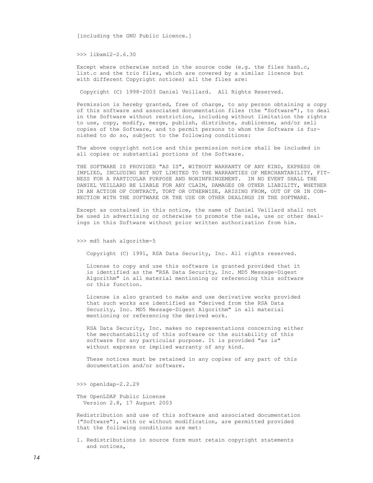[including the GNU Public Licence.]

>>> libxml2-2.6.30

Except where otherwise noted in the source code (e.g. the files hash.c, list.c and the trio files, which are covered by a similar licence but with different Copyright notices) all the files are:

Copyright (C) 1998-2003 Daniel Veillard. All Rights Reserved.

Permission is hereby granted, free of charge, to any person obtaining a copy of this software and associated documentation files (the "Software"), to deal in the Software without restriction, including without limitation the rights to use, copy, modify, merge, publish, distribute, sublicense, and/or sell copies of the Software, and to permit persons to whom the Software is furnished to do so, subject to the following conditions:

The above copyright notice and this permission notice shall be included in all copies or substantial portions of the Software.

THE SOFTWARE IS PROVIDED "AS IS", WITHOUT WARRANTY OF ANY KIND, EXPRESS OR IMPLIED, INCLUDING BUT NOT LIMITED TO THE WARRANTIES OF MERCHANTABILITY, FIT-NESS FOR A PARTICULAR PURPOSE AND NONINFRINGEMENT. IN NO EVENT SHALL THE DANIEL VEILLARD BE LIABLE FOR ANY CLAIM, DAMAGES OR OTHER LIABILITY, WHETHER IN AN ACTION OF CONTRACT, TORT OR OTHERWISE, ARISING FROM, OUT OF OR IN CON-NECTION WITH THE SOFTWARE OR THE USE OR OTHER DEALINGS IN THE SOFTWARE.

Except as contained in this notice, the name of Daniel Veillard shall not be used in advertising or otherwise to promote the sale, use or other dealings in this Software without prior written authorization from him.

>>> md5 hash algorithm-5

Copyright (C) 1991, RSA Data Security, Inc. All rights reserved.

 License to copy and use this software is granted provided that it is identified as the "RSA Data Security, Inc. MD5 Message-Digest Algorithm" in all material mentioning or referencing this software or this function.

 License is also granted to make and use derivative works provided that such works are identified as "derived from the RSA Data Security, Inc. MD5 Message-Digest Algorithm" in all material mentioning or referencing the derived work.

 RSA Data Security, Inc. makes no representations concerning either the merchantability of this software or the suitability of this software for any particular purpose. It is provided "as is" without express or implied warranty of any kind.

 These notices must be retained in any copies of any part of this documentation and/or software.

>>> openldap-2.2.29

The OpenLDAP Public License Version 2.8, 17 August 2003

Redistribution and use of this software and associated documentation ("Software"), with or without modification, are permitted provided that the following conditions are met:

1. Redistributions in source form must retain copyright statements and notices,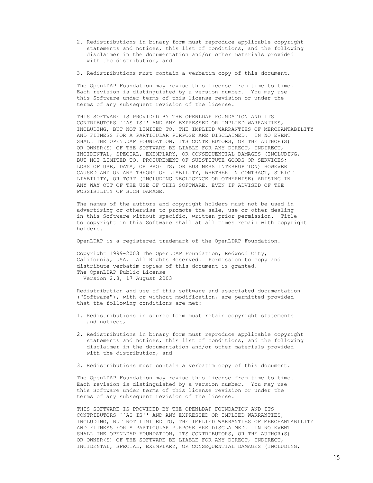- 2. Redistributions in binary form must reproduce applicable copyright statements and notices, this list of conditions, and the following disclaimer in the documentation and/or other materials provided with the distribution, and
- 3. Redistributions must contain a verbatim copy of this document.

The OpenLDAP Foundation may revise this license from time to time. Each revision is distinguished by a version number. You may use this Software under terms of this license revision or under the terms of any subsequent revision of the license.

THIS SOFTWARE IS PROVIDED BY THE OPENLDAP FOUNDATION AND ITS CONTRIBUTORS ``AS IS'' AND ANY EXPRESSED OR IMPLIED WARRANTIES, INCLUDING, BUT NOT LIMITED TO, THE IMPLIED WARRANTIES OF MERCHANTABILITY AND FITNESS FOR A PARTICULAR PURPOSE ARE DISCLAIMED. IN NO EVENT SHALL THE OPENLDAP FOUNDATION, ITS CONTRIBUTORS, OR THE AUTHOR(S) OR OWNER(S) OF THE SOFTWARE BE LIABLE FOR ANY DIRECT, INDIRECT, INCIDENTAL, SPECIAL, EXEMPLARY, OR CONSEQUENTIAL DAMAGES (INCLUDING, BUT NOT LIMITED TO, PROCUREMENT OF SUBSTITUTE GOODS OR SERVICES; LOSS OF USE, DATA, OR PROFITS; OR BUSINESS INTERRUPTION) HOWEVER CAUSED AND ON ANY THEORY OF LIABILITY, WHETHER IN CONTRACT, STRICT LIABILITY, OR TORT (INCLUDING NEGLIGENCE OR OTHERWISE) ARISING IN ANY WAY OUT OF THE USE OF THIS SOFTWARE, EVEN IF ADVISED OF THE POSSIBILITY OF SUCH DAMAGE.

The names of the authors and copyright holders must not be used in advertising or otherwise to promote the sale, use or other dealing in this Software without specific, written prior permission. Title to copyright in this Software shall at all times remain with copyright holders.

OpenLDAP is a registered trademark of the OpenLDAP Foundation.

Copyright 1999-2003 The OpenLDAP Foundation, Redwood City, California, USA. All Rights Reserved. Permission to copy and distribute verbatim copies of this document is granted. The OpenLDAP Public License Version 2.8, 17 August 2003

Redistribution and use of this software and associated documentation ("Software"), with or without modification, are permitted provided that the following conditions are met:

- 1. Redistributions in source form must retain copyright statements and notices,
- 2. Redistributions in binary form must reproduce applicable copyright statements and notices, this list of conditions, and the following disclaimer in the documentation and/or other materials provided with the distribution, and
- 3. Redistributions must contain a verbatim copy of this document.

The OpenLDAP Foundation may revise this license from time to time. Each revision is distinguished by a version number. You may use this Software under terms of this license revision or under the terms of any subsequent revision of the license.

THIS SOFTWARE IS PROVIDED BY THE OPENLDAP FOUNDATION AND ITS CONTRIBUTORS ``AS IS'' AND ANY EXPRESSED OR IMPLIED WARRANTIES, INCLUDING, BUT NOT LIMITED TO, THE IMPLIED WARRANTIES OF MERCHANTABILITY AND FITNESS FOR A PARTICULAR PURPOSE ARE DISCLAIMED. IN NO EVENT SHALL THE OPENLDAP FOUNDATION, ITS CONTRIBUTORS, OR THE AUTHOR(S) OR OWNER(S) OF THE SOFTWARE BE LIABLE FOR ANY DIRECT, INDIRECT, INCIDENTAL, SPECIAL, EXEMPLARY, OR CONSEQUENTIAL DAMAGES (INCLUDING,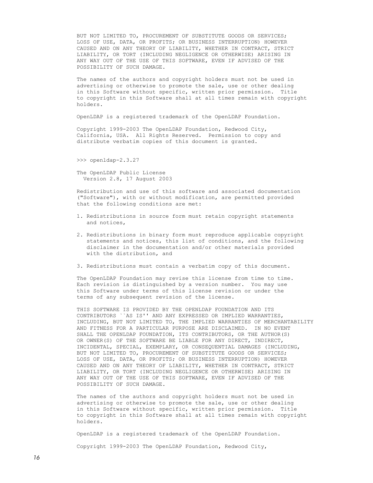BUT NOT LIMITED TO, PROCUREMENT OF SUBSTITUTE GOODS OR SERVICES; LOSS OF USE, DATA, OR PROFITS; OR BUSINESS INTERRUPTION) HOWEVER CAUSED AND ON ANY THEORY OF LIABILITY, WHETHER IN CONTRACT, STRICT LIABILITY, OR TORT (INCLUDING NEGLIGENCE OR OTHERWISE) ARISING IN ANY WAY OUT OF THE USE OF THIS SOFTWARE, EVEN IF ADVISED OF THE POSSIBILITY OF SUCH DAMAGE.

The names of the authors and copyright holders must not be used in advertising or otherwise to promote the sale, use or other dealing in this Software without specific, written prior permission. Title to copyright in this Software shall at all times remain with copyright holders.

OpenLDAP is a registered trademark of the OpenLDAP Foundation.

Copyright 1999-2003 The OpenLDAP Foundation, Redwood City, California, USA. All Rights Reserved. Permission to copy and distribute verbatim copies of this document is granted.

>>> openldap-2.3.27

The OpenLDAP Public License Version 2.8, 17 August 2003

Redistribution and use of this software and associated documentation ("Software"), with or without modification, are permitted provided that the following conditions are met:

- 1. Redistributions in source form must retain copyright statements and notices,
- 2. Redistributions in binary form must reproduce applicable copyright statements and notices, this list of conditions, and the following disclaimer in the documentation and/or other materials provided with the distribution, and
- 3. Redistributions must contain a verbatim copy of this document.

The OpenLDAP Foundation may revise this license from time to time. Each revision is distinguished by a version number. You may use this Software under terms of this license revision or under the terms of any subsequent revision of the license.

THIS SOFTWARE IS PROVIDED BY THE OPENLDAP FOUNDATION AND ITS CONTRIBUTORS ``AS IS'' AND ANY EXPRESSED OR IMPLIED WARRANTIES, INCLUDING, BUT NOT LIMITED TO, THE IMPLIED WARRANTIES OF MERCHANTABILITY AND FITNESS FOR A PARTICULAR PURPOSE ARE DISCLAIMED. IN NO EVENT SHALL THE OPENLDAP FOUNDATION, ITS CONTRIBUTORS, OR THE AUTHOR(S) OR OWNER(S) OF THE SOFTWARE BE LIABLE FOR ANY DIRECT, INDIRECT, INCIDENTAL, SPECIAL, EXEMPLARY, OR CONSEQUENTIAL DAMAGES (INCLUDING, BUT NOT LIMITED TO, PROCUREMENT OF SUBSTITUTE GOODS OR SERVICES; LOSS OF USE, DATA, OR PROFITS; OR BUSINESS INTERRUPTION) HOWEVER CAUSED AND ON ANY THEORY OF LIABILITY, WHETHER IN CONTRACT, STRICT LIABILITY, OR TORT (INCLUDING NEGLIGENCE OR OTHERWISE) ARISING IN ANY WAY OUT OF THE USE OF THIS SOFTWARE, EVEN IF ADVISED OF THE POSSIBILITY OF SUCH DAMAGE.

The names of the authors and copyright holders must not be used in advertising or otherwise to promote the sale, use or other dealing in this Software without specific, written prior permission. Title to copyright in this Software shall at all times remain with copyright holders.

OpenLDAP is a registered trademark of the OpenLDAP Foundation.

Copyright 1999-2003 The OpenLDAP Foundation, Redwood City,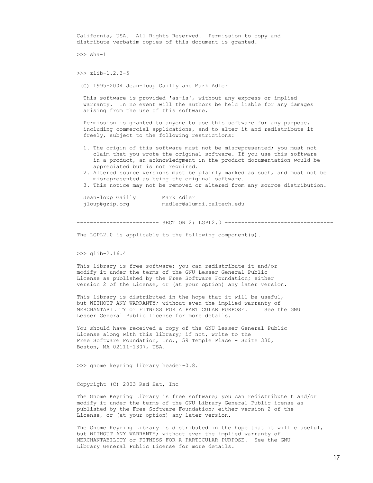California, USA. All Rights Reserved. Permission to copy and distribute verbatim copies of this document is granted.

>>> sha-1

>>> zlib-1.2.3-5

(C) 1995-2004 Jean-loup Gailly and Mark Adler

This software is provided 'as-is', without any express or implied warranty. In no event will the authors be held liable for any damages arising from the use of this software.

 Permission is granted to anyone to use this software for any purpose, including commercial applications, and to alter it and redistribute it freely, subject to the following restrictions:

- 1. The origin of this software must not be misrepresented; you must not claim that you wrote the original software. If you use this software in a product, an acknowledgment in the product documentation would be appreciated but is not required.
- 2. Altered source versions must be plainly marked as such, and must not be misrepresented as being the original software.
- 3. This notice may not be removed or altered from any source distribution.

| Jean-loup Gailly | Mark Adler                |
|------------------|---------------------------|
| jloup@gzip.org   | madler@alumni.caltech.edu |

------------------------- SECTION 2: LGPL2.0 ---------------------------------

The LGPL2.0 is applicable to the following component(s).

>>> glib-2.16.4

This library is free software; you can redistribute it and/or modify it under the terms of the GNU Lesser General Public License as published by the Free Software Foundation; either version 2 of the License, or (at your option) any later version.

This library is distributed in the hope that it will be useful, but WITHOUT ANY WARRANTY; without even the implied warranty of MERCHANTABILITY or FITNESS FOR A PARTICULAR PURPOSE. See the GNU Lesser General Public License for more details.

You should have received a copy of the GNU Lesser General Public License along with this library; if not, write to the Free Software Foundation, Inc., 59 Temple Place - Suite 330, Boston, MA 02111-1307, USA.

>>> gnome keyring library header-0.8.1

Copyright (C) 2003 Red Hat, Inc

The Gnome Keyring Library is free software; you can redistribute t and/or modify it under the terms of the GNU Library General Public icense as published by the Free Software Foundation; either version 2 of the License, or (at your option) any later version.

The Gnome Keyring Library is distributed in the hope that it will e useful, but WITHOUT ANY WARRANTY; without even the implied warranty of MERCHANTABILITY or FITNESS FOR A PARTICULAR PURPOSE. See the GNU Library General Public License for more details.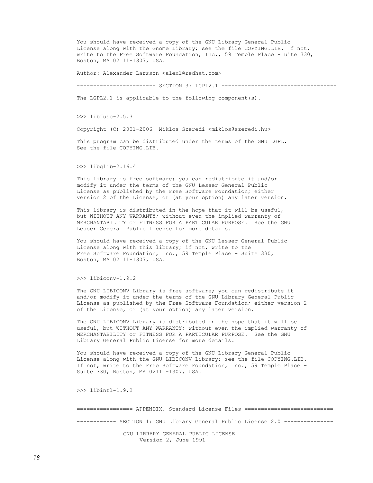You should have received a copy of the GNU Library General Public License along with the Gnome Library; see the file COPYING.LIB. f not, write to the Free Software Foundation, Inc., 59 Temple Place - uite 330, Boston, MA 02111-1307, USA.

Author: Alexander Larsson <alexl@redhat.com>

------------------------ SECTION 3: LGPL2.1 -----------------------------------

The LGPL2.1 is applicable to the following component(s).

>>> libfuse-2.5.3

Copyright (C) 2001-2006 Miklos Szeredi <miklos@szeredi.hu>

This program can be distributed under the terms of the GNU LGPL. See the file COPYING.LIB.

>>> libglib-2.16.4

This library is free software; you can redistribute it and/or modify it under the terms of the GNU Lesser General Public License as published by the Free Software Foundation; either version 2 of the License, or (at your option) any later version.

This library is distributed in the hope that it will be useful, but WITHOUT ANY WARRANTY; without even the implied warranty of MERCHANTABILITY or FITNESS FOR A PARTICULAR PURPOSE. See the GNU Lesser General Public License for more details.

You should have received a copy of the GNU Lesser General Public License along with this library; if not, write to the Free Software Foundation, Inc., 59 Temple Place - Suite 330, Boston, MA 02111-1307, USA.

>>> libiconv-1.9.2

The GNU LIBICONV Library is free software; you can redistribute it and/or modify it under the terms of the GNU Library General Public License as published by the Free Software Foundation; either version 2 of the License, or (at your option) any later version.

The GNU LIBICONV Library is distributed in the hope that it will be useful, but WITHOUT ANY WARRANTY; without even the implied warranty of MERCHANTABILITY or FITNESS FOR A PARTICULAR PURPOSE. See the GNU Library General Public License for more details.

You should have received a copy of the GNU Library General Public License along with the GNU LIBICONV Library; see the file COPYING.LIB. If not, write to the Free Software Foundation, Inc., 59 Temple Place - Suite 330, Boston, MA 02111-1307, USA.

Version 2, June 1991

>>> libintl-1.9.2

================= APPENDIX. Standard License Files =========================== ----------- SECTION 1: GNU Library General Public License 2.0 ---------------GNU LIBRARY GENERAL PUBLIC LICENSE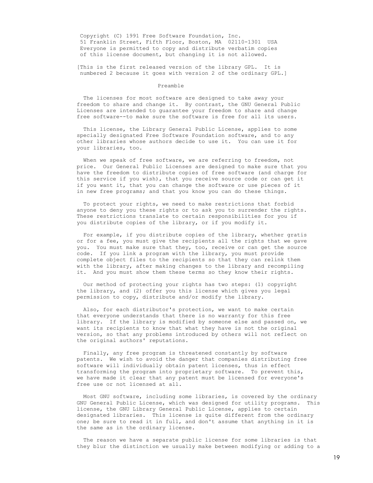Copyright (C) 1991 Free Software Foundation, Inc. 51 Franklin Street, Fifth Floor, Boston, MA 02110-1301 USA Everyone is permitted to copy and distribute verbatim copies of this license document, but changing it is not allowed.

[This is the first released version of the library GPL. It is numbered 2 because it goes with version 2 of the ordinary GPL.]

#### Preamble

 The licenses for most software are designed to take away your freedom to share and change it. By contrast, the GNU General Public Licenses are intended to guarantee your freedom to share and change free software--to make sure the software is free for all its users.

 This license, the Library General Public License, applies to some specially designated Free Software Foundation software, and to any other libraries whose authors decide to use it. You can use it for your libraries, too.

When we speak of free software, we are referring to freedom, not price. Our General Public Licenses are designed to make sure that you have the freedom to distribute copies of free software (and charge for this service if you wish), that you receive source code or can get it if you want it, that you can change the software or use pieces of it in new free programs; and that you know you can do these things.

 To protect your rights, we need to make restrictions that forbid anyone to deny you these rights or to ask you to surrender the rights. These restrictions translate to certain responsibilities for you if you distribute copies of the library, or if you modify it.

 For example, if you distribute copies of the library, whether gratis or for a fee, you must give the recipients all the rights that we gave you. You must make sure that they, too, receive or can get the source code. If you link a program with the library, you must provide complete object files to the recipients so that they can relink them with the library, after making changes to the library and recompiling it. And you must show them these terms so they know their rights.

 Our method of protecting your rights has two steps: (1) copyright the library, and (2) offer you this license which gives you legal permission to copy, distribute and/or modify the library.

 Also, for each distributor's protection, we want to make certain that everyone understands that there is no warranty for this free library. If the library is modified by someone else and passed on, we want its recipients to know that what they have is not the original version, so that any problems introduced by others will not reflect on the original authors' reputations.

 Finally, any free program is threatened constantly by software patents. We wish to avoid the danger that companies distributing free software will individually obtain patent licenses, thus in effect transforming the program into proprietary software. To prevent this, we have made it clear that any patent must be licensed for everyone's free use or not licensed at all.

 Most GNU software, including some libraries, is covered by the ordinary GNU General Public License, which was designed for utility programs. This license, the GNU Library General Public License, applies to certain designated libraries. This license is quite different from the ordinary one; be sure to read it in full, and don't assume that anything in it is the same as in the ordinary license.

 The reason we have a separate public license for some libraries is that they blur the distinction we usually make between modifying or adding to a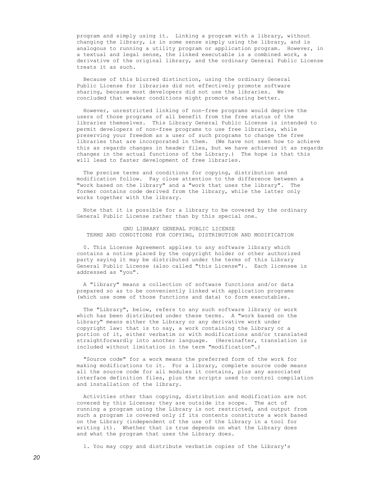program and simply using it. Linking a program with a library, without changing the library, is in some sense simply using the library, and is analogous to running a utility program or application program. However, in a textual and legal sense, the linked executable is a combined work, a derivative of the original library, and the ordinary General Public License treats it as such.

 Because of this blurred distinction, using the ordinary General Public License for libraries did not effectively promote software sharing, because most developers did not use the libraries. We concluded that weaker conditions might promote sharing better.

 However, unrestricted linking of non-free programs would deprive the users of those programs of all benefit from the free status of the libraries themselves. This Library General Public License is intended to permit developers of non-free programs to use free libraries, while preserving your freedom as a user of such programs to change the free libraries that are incorporated in them. (We have not seen how to achieve this as regards changes in header files, but we have achieved it as regards changes in the actual functions of the Library.) The hope is that this will lead to faster development of free libraries.

 The precise terms and conditions for copying, distribution and modification follow. Pay close attention to the difference between a "work based on the library" and a "work that uses the library". The former contains code derived from the library, while the latter only works together with the library.

 Note that it is possible for a library to be covered by the ordinary General Public License rather than by this special one.

 GNU LIBRARY GENERAL PUBLIC LICENSE TERMS AND CONDITIONS FOR COPYING, DISTRIBUTION AND MODIFICATION

 0. This License Agreement applies to any software library which contains a notice placed by the copyright holder or other authorized party saying it may be distributed under the terms of this Library General Public License (also called "this License"). Each licensee is addressed as "you".

 A "library" means a collection of software functions and/or data prepared so as to be conveniently linked with application programs (which use some of those functions and data) to form executables.

 The "Library", below, refers to any such software library or work which has been distributed under these terms. A "work based on the Library" means either the Library or any derivative work under copyright law: that is to say, a work containing the Library or a portion of it, either verbatim or with modifications and/or translated straightforwardly into another language. (Hereinafter, translation is included without limitation in the term "modification".)

 "Source code" for a work means the preferred form of the work for making modifications to it. For a library, complete source code means all the source code for all modules it contains, plus any associated interface definition files, plus the scripts used to control compilation and installation of the library.

 Activities other than copying, distribution and modification are not covered by this License; they are outside its scope. The act of running a program using the Library is not restricted, and output from such a program is covered only if its contents constitute a work based on the Library (independent of the use of the Library in a tool for writing it). Whether that is true depends on what the Library does and what the program that uses the Library does.

1. You may copy and distribute verbatim copies of the Library's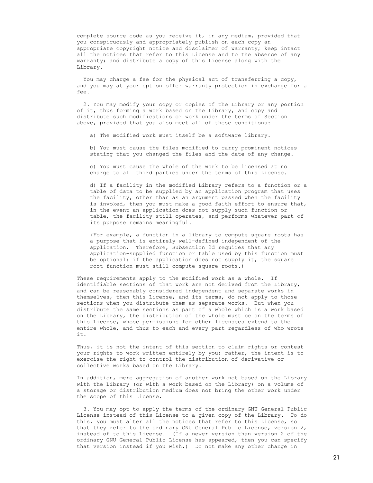complete source code as you receive it, in any medium, provided that you conspicuously and appropriately publish on each copy an appropriate copyright notice and disclaimer of warranty; keep intact all the notices that refer to this License and to the absence of any warranty; and distribute a copy of this License along with the Library.

You may charge a fee for the physical act of transferring a copy, and you may at your option offer warranty protection in exchange for a fee.

 2. You may modify your copy or copies of the Library or any portion of it, thus forming a work based on the Library, and copy and distribute such modifications or work under the terms of Section 1 above, provided that you also meet all of these conditions:

a) The modified work must itself be a software library.

 b) You must cause the files modified to carry prominent notices stating that you changed the files and the date of any change.

 c) You must cause the whole of the work to be licensed at no charge to all third parties under the terms of this License.

 d) If a facility in the modified Library refers to a function or a table of data to be supplied by an application program that uses the facility, other than as an argument passed when the facility is invoked, then you must make a good faith effort to ensure that, in the event an application does not supply such function or table, the facility still operates, and performs whatever part of its purpose remains meaningful.

 (For example, a function in a library to compute square roots has a purpose that is entirely well-defined independent of the application. Therefore, Subsection 2d requires that any application-supplied function or table used by this function must be optional: if the application does not supply it, the square root function must still compute square roots.)

These requirements apply to the modified work as a whole. If identifiable sections of that work are not derived from the Library, and can be reasonably considered independent and separate works in themselves, then this License, and its terms, do not apply to those sections when you distribute them as separate works. But when you distribute the same sections as part of a whole which is a work based on the Library, the distribution of the whole must be on the terms of this License, whose permissions for other licensees extend to the entire whole, and thus to each and every part regardless of who wrote it.

Thus, it is not the intent of this section to claim rights or contest your rights to work written entirely by you; rather, the intent is to exercise the right to control the distribution of derivative or collective works based on the Library.

In addition, mere aggregation of another work not based on the Library with the Library (or with a work based on the Library) on a volume of a storage or distribution medium does not bring the other work under the scope of this License.

 3. You may opt to apply the terms of the ordinary GNU General Public License instead of this License to a given copy of the Library. To do this, you must alter all the notices that refer to this License, so that they refer to the ordinary GNU General Public License, version 2, instead of to this License. (If a newer version than version 2 of the ordinary GNU General Public License has appeared, then you can specify that version instead if you wish.) Do not make any other change in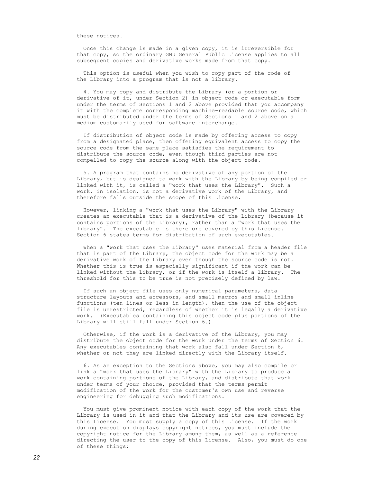these notices.

 Once this change is made in a given copy, it is irreversible for that copy, so the ordinary GNU General Public License applies to all subsequent copies and derivative works made from that copy.

 This option is useful when you wish to copy part of the code of the Library into a program that is not a library.

 4. You may copy and distribute the Library (or a portion or derivative of it, under Section 2) in object code or executable form under the terms of Sections 1 and 2 above provided that you accompany it with the complete corresponding machine-readable source code, which must be distributed under the terms of Sections 1 and 2 above on a medium customarily used for software interchange.

 If distribution of object code is made by offering access to copy from a designated place, then offering equivalent access to copy the source code from the same place satisfies the requirement to distribute the source code, even though third parties are not compelled to copy the source along with the object code.

 5. A program that contains no derivative of any portion of the Library, but is designed to work with the Library by being compiled or linked with it, is called a "work that uses the Library". Such a work, in isolation, is not a derivative work of the Library, and therefore falls outside the scope of this License.

 However, linking a "work that uses the Library" with the Library creates an executable that is a derivative of the Library (because it contains portions of the Library), rather than a "work that uses the library". The executable is therefore covered by this License. Section 6 states terms for distribution of such executables.

 When a "work that uses the Library" uses material from a header file that is part of the Library, the object code for the work may be a derivative work of the Library even though the source code is not. Whether this is true is especially significant if the work can be linked without the Library, or if the work is itself a library. The threshold for this to be true is not precisely defined by law.

 If such an object file uses only numerical parameters, data structure layouts and accessors, and small macros and small inline functions (ten lines or less in length), then the use of the object file is unrestricted, regardless of whether it is legally a derivative work. (Executables containing this object code plus portions of the Library will still fall under Section 6.)

 Otherwise, if the work is a derivative of the Library, you may distribute the object code for the work under the terms of Section 6. Any executables containing that work also fall under Section 6, whether or not they are linked directly with the Library itself.

 6. As an exception to the Sections above, you may also compile or link a "work that uses the Library" with the Library to produce a work containing portions of the Library, and distribute that work under terms of your choice, provided that the terms permit modification of the work for the customer's own use and reverse engineering for debugging such modifications.

 You must give prominent notice with each copy of the work that the Library is used in it and that the Library and its use are covered by this License. You must supply a copy of this License. If the work during execution displays copyright notices, you must include the copyright notice for the Library among them, as well as a reference directing the user to the copy of this License. Also, you must do one of these things: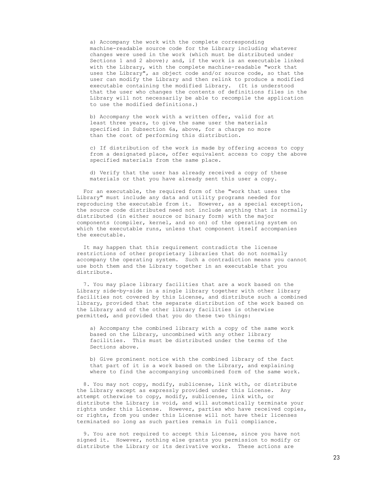a) Accompany the work with the complete corresponding machine-readable source code for the Library including whatever changes were used in the work (which must be distributed under Sections 1 and 2 above); and, if the work is an executable linked with the Library, with the complete machine-readable "work that uses the Library", as object code and/or source code, so that the user can modify the Library and then relink to produce a modified executable containing the modified Library. (It is understood that the user who changes the contents of definitions files in the Library will not necessarily be able to recompile the application to use the modified definitions.)

 b) Accompany the work with a written offer, valid for at least three years, to give the same user the materials specified in Subsection 6a, above, for a charge no more than the cost of performing this distribution.

 c) If distribution of the work is made by offering access to copy from a designated place, offer equivalent access to copy the above specified materials from the same place.

 d) Verify that the user has already received a copy of these materials or that you have already sent this user a copy.

 For an executable, the required form of the "work that uses the Library" must include any data and utility programs needed for reproducing the executable from it. However, as a special exception, the source code distributed need not include anything that is normally distributed (in either source or binary form) with the major components (compiler, kernel, and so on) of the operating system on which the executable runs, unless that component itself accompanies the executable.

 It may happen that this requirement contradicts the license restrictions of other proprietary libraries that do not normally accompany the operating system. Such a contradiction means you cannot use both them and the Library together in an executable that you distribute.

 7. You may place library facilities that are a work based on the Library side-by-side in a single library together with other library facilities not covered by this License, and distribute such a combined library, provided that the separate distribution of the work based on the Library and of the other library facilities is otherwise permitted, and provided that you do these two things:

 a) Accompany the combined library with a copy of the same work based on the Library, uncombined with any other library facilities. This must be distributed under the terms of the Sections above.

 b) Give prominent notice with the combined library of the fact that part of it is a work based on the Library, and explaining where to find the accompanying uncombined form of the same work.

 8. You may not copy, modify, sublicense, link with, or distribute the Library except as expressly provided under this License. Any attempt otherwise to copy, modify, sublicense, link with, or distribute the Library is void, and will automatically terminate your rights under this License. However, parties who have received copies, or rights, from you under this License will not have their licenses terminated so long as such parties remain in full compliance.

 9. You are not required to accept this License, since you have not signed it. However, nothing else grants you permission to modify or distribute the Library or its derivative works. These actions are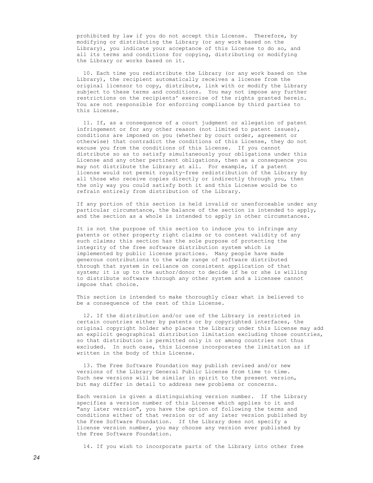prohibited by law if you do not accept this License. Therefore, by modifying or distributing the Library (or any work based on the Library), you indicate your acceptance of this License to do so, and all its terms and conditions for copying, distributing or modifying the Library or works based on it.

 10. Each time you redistribute the Library (or any work based on the Library), the recipient automatically receives a license from the original licensor to copy, distribute, link with or modify the Library subject to these terms and conditions. You may not impose any further restrictions on the recipients' exercise of the rights granted herein. You are not responsible for enforcing compliance by third parties to this License.

 11. If, as a consequence of a court judgment or allegation of patent infringement or for any other reason (not limited to patent issues), conditions are imposed on you (whether by court order, agreement or otherwise) that contradict the conditions of this License, they do not excuse you from the conditions of this License. If you cannot distribute so as to satisfy simultaneously your obligations under this License and any other pertinent obligations, then as a consequence you may not distribute the Library at all. For example, if a patent license would not permit royalty-free redistribution of the Library by all those who receive copies directly or indirectly through you, then the only way you could satisfy both it and this License would be to refrain entirely from distribution of the Library.

If any portion of this section is held invalid or unenforceable under any particular circumstance, the balance of the section is intended to apply, and the section as a whole is intended to apply in other circumstances.

It is not the purpose of this section to induce you to infringe any patents or other property right claims or to contest validity of any such claims; this section has the sole purpose of protecting the integrity of the free software distribution system which is implemented by public license practices. Many people have made generous contributions to the wide range of software distributed through that system in reliance on consistent application of that system; it is up to the author/donor to decide if he or she is willing to distribute software through any other system and a licensee cannot impose that choice.

This section is intended to make thoroughly clear what is believed to be a consequence of the rest of this License.

 12. If the distribution and/or use of the Library is restricted in certain countries either by patents or by copyrighted interfaces, the original copyright holder who places the Library under this License may add an explicit geographical distribution limitation excluding those countries, so that distribution is permitted only in or among countries not thus excluded. In such case, this License incorporates the limitation as if written in the body of this License.

 13. The Free Software Foundation may publish revised and/or new versions of the Library General Public License from time to time. Such new versions will be similar in spirit to the present version, but may differ in detail to address new problems or concerns.

Each version is given a distinguishing version number. If the Library specifies a version number of this License which applies to it and "any later version", you have the option of following the terms and conditions either of that version or of any later version published by the Free Software Foundation. If the Library does not specify a license version number, you may choose any version ever published by the Free Software Foundation.

14. If you wish to incorporate parts of the Library into other free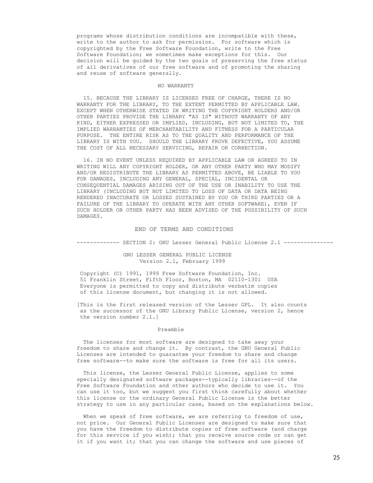programs whose distribution conditions are incompatible with these, write to the author to ask for permission. For software which is copyrighted by the Free Software Foundation, write to the Free Software Foundation; we sometimes make exceptions for this. Our decision will be guided by the two goals of preserving the free status of all derivatives of our free software and of promoting the sharing and reuse of software generally.

#### NO WARRANTY

 15. BECAUSE THE LIBRARY IS LICENSED FREE OF CHARGE, THERE IS NO WARRANTY FOR THE LIBRARY, TO THE EXTENT PERMITTED BY APPLICABLE LAW. EXCEPT WHEN OTHERWISE STATED IN WRITING THE COPYRIGHT HOLDERS AND/OR OTHER PARTIES PROVIDE THE LIBRARY "AS IS" WITHOUT WARRANTY OF ANY KIND, EITHER EXPRESSED OR IMPLIED, INCLUDING, BUT NOT LIMITED TO, THE IMPLIED WARRANTIES OF MERCHANTABILITY AND FITNESS FOR A PARTICULAR PURPOSE. THE ENTIRE RISK AS TO THE QUALITY AND PERFORMANCE OF THE LIBRARY IS WITH YOU. SHOULD THE LIBRARY PROVE DEFECTIVE, YOU ASSUME THE COST OF ALL NECESSARY SERVICING, REPAIR OR CORRECTION.

 16. IN NO EVENT UNLESS REQUIRED BY APPLICABLE LAW OR AGREED TO IN WRITING WILL ANY COPYRIGHT HOLDER, OR ANY OTHER PARTY WHO MAY MODIFY AND/OR REDISTRIBUTE THE LIBRARY AS PERMITTED ABOVE, BE LIABLE TO YOU FOR DAMAGES, INCLUDING ANY GENERAL, SPECIAL, INCIDENTAL OR CONSEQUENTIAL DAMAGES ARISING OUT OF THE USE OR INABILITY TO USE THE LIBRARY (INCLUDING BUT NOT LIMITED TO LOSS OF DATA OR DATA BEING RENDERED INACCURATE OR LOSSES SUSTAINED BY YOU OR THIRD PARTIES OR A FAILURE OF THE LIBRARY TO OPERATE WITH ANY OTHER SOFTWARE), EVEN IF SUCH HOLDER OR OTHER PARTY HAS BEEN ADVISED OF THE POSSIBILITY OF SUCH DAMAGES.

#### END OF TERMS AND CONDITIONS

------------- SECTION 2: GNU Lesser General Public License 2.1 ---------------

 GNU LESSER GENERAL PUBLIC LICENSE Version 2.1, February 1999

Copyright (C) 1991, 1999 Free Software Foundation, Inc. 51 Franklin Street, Fifth Floor, Boston, MA 02110-1301 USA Everyone is permitted to copy and distribute verbatim copies of this license document, but changing it is not allowed.

[This is the first released version of the Lesser GPL. It also counts as the successor of the GNU Library Public License, version 2, hence the version number 2.1.]

#### Preamble

 The licenses for most software are designed to take away your freedom to share and change it. By contrast, the GNU General Public Licenses are intended to guarantee your freedom to share and change free software--to make sure the software is free for all its users.

 This license, the Lesser General Public License, applies to some specially designated software packages--typically libraries--of the Free Software Foundation and other authors who decide to use it. You can use it too, but we suggest you first think carefully about whether this license or the ordinary General Public License is the better strategy to use in any particular case, based on the explanations below.

When we speak of free software, we are referring to freedom of use, not price. Our General Public Licenses are designed to make sure that you have the freedom to distribute copies of free software (and charge for this service if you wish); that you receive source code or can get it if you want it; that you can change the software and use pieces of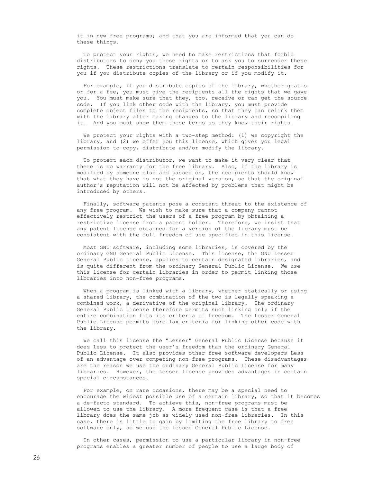it in new free programs; and that you are informed that you can do these things.

 To protect your rights, we need to make restrictions that forbid distributors to deny you these rights or to ask you to surrender these rights. These restrictions translate to certain responsibilities for you if you distribute copies of the library or if you modify it.

 For example, if you distribute copies of the library, whether gratis or for a fee, you must give the recipients all the rights that we gave you. You must make sure that they, too, receive or can get the source code. If you link other code with the library, you must provide complete object files to the recipients, so that they can relink them with the library after making changes to the library and recompiling it. And you must show them these terms so they know their rights.

 We protect your rights with a two-step method: (1) we copyright the library, and (2) we offer you this license, which gives you legal permission to copy, distribute and/or modify the library.

 To protect each distributor, we want to make it very clear that there is no warranty for the free library. Also, if the library is modified by someone else and passed on, the recipients should know that what they have is not the original version, so that the original author's reputation will not be affected by problems that might be introduced by others.

 Finally, software patents pose a constant threat to the existence of any free program. We wish to make sure that a company cannot effectively restrict the users of a free program by obtaining a restrictive license from a patent holder. Therefore, we insist that any patent license obtained for a version of the library must be consistent with the full freedom of use specified in this license.

 Most GNU software, including some libraries, is covered by the ordinary GNU General Public License. This license, the GNU Lesser General Public License, applies to certain designated libraries, and is quite different from the ordinary General Public License. We use this license for certain libraries in order to permit linking those libraries into non-free programs.

 When a program is linked with a library, whether statically or using a shared library, the combination of the two is legally speaking a combined work, a derivative of the original library. The ordinary General Public License therefore permits such linking only if the entire combination fits its criteria of freedom. The Lesser General Public License permits more lax criteria for linking other code with the library.

 We call this license the "Lesser" General Public License because it does Less to protect the user's freedom than the ordinary General Public License. It also provides other free software developers Less of an advantage over competing non-free programs. These disadvantages are the reason we use the ordinary General Public License for many libraries. However, the Lesser license provides advantages in certain special circumstances.

 For example, on rare occasions, there may be a special need to encourage the widest possible use of a certain library, so that it becomes a de-facto standard. To achieve this, non-free programs must be allowed to use the library. A more frequent case is that a free library does the same job as widely used non-free libraries. In this case, there is little to gain by limiting the free library to free software only, so we use the Lesser General Public License.

 In other cases, permission to use a particular library in non-free programs enables a greater number of people to use a large body of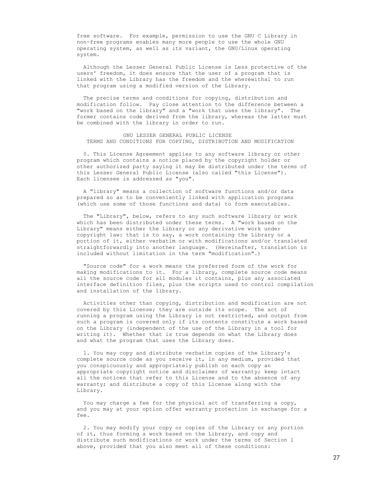free software. For example, permission to use the GNU C Library in non-free programs enables many more people to use the whole GNU operating system, as well as its variant, the GNU/Linux operating system.

 Although the Lesser General Public License is Less protective of the users' freedom, it does ensure that the user of a program that is linked with the Library has the freedom and the wherewithal to run that program using a modified version of the Library.

 The precise terms and conditions for copying, distribution and modification follow. Pay close attention to the difference between a "work based on the library" and a "work that uses the library". The former contains code derived from the library, whereas the latter must be combined with the library in order to run.

 GNU LESSER GENERAL PUBLIC LICENSE TERMS AND CONDITIONS FOR COPYING, DISTRIBUTION AND MODIFICATION

 0. This License Agreement applies to any software library or other program which contains a notice placed by the copyright holder or other authorized party saying it may be distributed under the terms of this Lesser General Public License (also called "this License"). Each licensee is addressed as "you".

 A "library" means a collection of software functions and/or data prepared so as to be conveniently linked with application programs (which use some of those functions and data) to form executables.

 The "Library", below, refers to any such software library or work which has been distributed under these terms. A "work based on the Library" means either the Library or any derivative work under copyright law: that is to say, a work containing the Library or a portion of it, either verbatim or with modifications and/or translated straightforwardly into another language. (Hereinafter, translation is included without limitation in the term "modification".)

 "Source code" for a work means the preferred form of the work for making modifications to it. For a library, complete source code means all the source code for all modules it contains, plus any associated interface definition files, plus the scripts used to control compilation and installation of the library.

 Activities other than copying, distribution and modification are not covered by this License; they are outside its scope. The act of running a program using the Library is not restricted, and output from such a program is covered only if its contents constitute a work based on the Library (independent of the use of the Library in a tool for writing it). Whether that is true depends on what the Library does and what the program that uses the Library does.

 1. You may copy and distribute verbatim copies of the Library's complete source code as you receive it, in any medium, provided that you conspicuously and appropriately publish on each copy an appropriate copyright notice and disclaimer of warranty; keep intact all the notices that refer to this License and to the absence of any warranty; and distribute a copy of this License along with the Library.

You may charge a fee for the physical act of transferring a copy, and you may at your option offer warranty protection in exchange for a fee.

 2. You may modify your copy or copies of the Library or any portion of it, thus forming a work based on the Library, and copy and distribute such modifications or work under the terms of Section 1 above, provided that you also meet all of these conditions: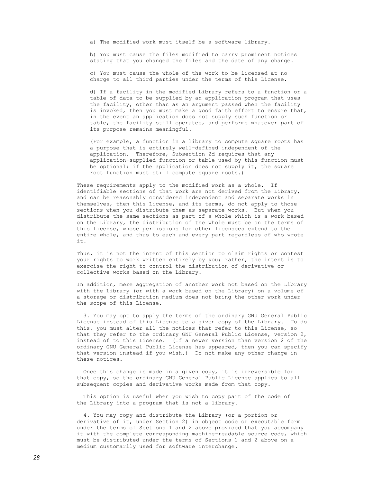a) The modified work must itself be a software library.

 b) You must cause the files modified to carry prominent notices stating that you changed the files and the date of any change.

 c) You must cause the whole of the work to be licensed at no charge to all third parties under the terms of this License.

 d) If a facility in the modified Library refers to a function or a table of data to be supplied by an application program that uses the facility, other than as an argument passed when the facility is invoked, then you must make a good faith effort to ensure that, in the event an application does not supply such function or table, the facility still operates, and performs whatever part of its purpose remains meaningful.

 (For example, a function in a library to compute square roots has a purpose that is entirely well-defined independent of the application. Therefore, Subsection 2d requires that any application-supplied function or table used by this function must be optional: if the application does not supply it, the square root function must still compute square roots.)

These requirements apply to the modified work as a whole. If identifiable sections of that work are not derived from the Library, and can be reasonably considered independent and separate works in themselves, then this License, and its terms, do not apply to those sections when you distribute them as separate works. But when you distribute the same sections as part of a whole which is a work based on the Library, the distribution of the whole must be on the terms of this License, whose permissions for other licensees extend to the entire whole, and thus to each and every part regardless of who wrote it.

Thus, it is not the intent of this section to claim rights or contest your rights to work written entirely by you; rather, the intent is to exercise the right to control the distribution of derivative or collective works based on the Library.

In addition, mere aggregation of another work not based on the Library with the Library (or with a work based on the Library) on a volume of a storage or distribution medium does not bring the other work under the scope of this License.

 3. You may opt to apply the terms of the ordinary GNU General Public License instead of this License to a given copy of the Library. To do this, you must alter all the notices that refer to this License, so that they refer to the ordinary GNU General Public License, version 2, instead of to this License. (If a newer version than version 2 of the ordinary GNU General Public License has appeared, then you can specify that version instead if you wish.) Do not make any other change in these notices.

 Once this change is made in a given copy, it is irreversible for that copy, so the ordinary GNU General Public License applies to all subsequent copies and derivative works made from that copy.

 This option is useful when you wish to copy part of the code of the Library into a program that is not a library.

 4. You may copy and distribute the Library (or a portion or derivative of it, under Section 2) in object code or executable form under the terms of Sections 1 and 2 above provided that you accompany it with the complete corresponding machine-readable source code, which must be distributed under the terms of Sections 1 and 2 above on a medium customarily used for software interchange.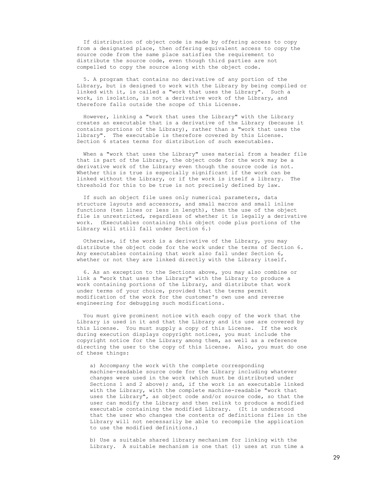If distribution of object code is made by offering access to copy from a designated place, then offering equivalent access to copy the source code from the same place satisfies the requirement to distribute the source code, even though third parties are not compelled to copy the source along with the object code.

 5. A program that contains no derivative of any portion of the Library, but is designed to work with the Library by being compiled or linked with it, is called a "work that uses the Library". Such a work, in isolation, is not a derivative work of the Library, and therefore falls outside the scope of this License.

 However, linking a "work that uses the Library" with the Library creates an executable that is a derivative of the Library (because it contains portions of the Library), rather than a "work that uses the library". The executable is therefore covered by this License. Section 6 states terms for distribution of such executables.

 When a "work that uses the Library" uses material from a header file that is part of the Library, the object code for the work may be a derivative work of the Library even though the source code is not. Whether this is true is especially significant if the work can be linked without the Library, or if the work is itself a library. The threshold for this to be true is not precisely defined by law.

 If such an object file uses only numerical parameters, data structure layouts and accessors, and small macros and small inline functions (ten lines or less in length), then the use of the object file is unrestricted, regardless of whether it is legally a derivative work. (Executables containing this object code plus portions of the Library will still fall under Section 6.)

 Otherwise, if the work is a derivative of the Library, you may distribute the object code for the work under the terms of Section 6. Any executables containing that work also fall under Section 6, whether or not they are linked directly with the Library itself.

 6. As an exception to the Sections above, you may also combine or link a "work that uses the Library" with the Library to produce a work containing portions of the Library, and distribute that work under terms of your choice, provided that the terms permit modification of the work for the customer's own use and reverse engineering for debugging such modifications.

 You must give prominent notice with each copy of the work that the Library is used in it and that the Library and its use are covered by this License. You must supply a copy of this License. If the work during execution displays copyright notices, you must include the copyright notice for the Library among them, as well as a reference directing the user to the copy of this License. Also, you must do one of these things:

 a) Accompany the work with the complete corresponding machine-readable source code for the Library including whatever changes were used in the work (which must be distributed under Sections 1 and 2 above); and, if the work is an executable linked with the Library, with the complete machine-readable "work that uses the Library", as object code and/or source code, so that the user can modify the Library and then relink to produce a modified executable containing the modified Library. (It is understood that the user who changes the contents of definitions files in the Library will not necessarily be able to recompile the application to use the modified definitions.)

 b) Use a suitable shared library mechanism for linking with the Library. A suitable mechanism is one that (1) uses at run time a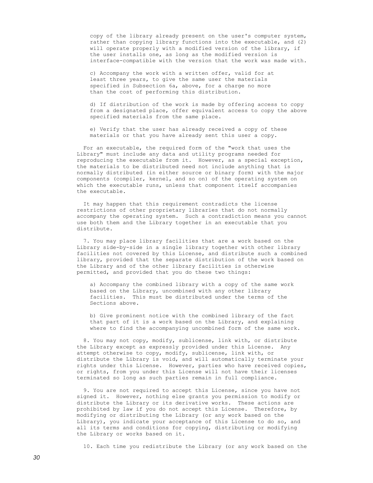copy of the library already present on the user's computer system, rather than copying library functions into the executable, and (2) will operate properly with a modified version of the library, if the user installs one, as long as the modified version is interface-compatible with the version that the work was made with.

 c) Accompany the work with a written offer, valid for at least three years, to give the same user the materials specified in Subsection 6a, above, for a charge no more than the cost of performing this distribution.

 d) If distribution of the work is made by offering access to copy from a designated place, offer equivalent access to copy the above specified materials from the same place.

 e) Verify that the user has already received a copy of these materials or that you have already sent this user a copy.

 For an executable, the required form of the "work that uses the Library" must include any data and utility programs needed for reproducing the executable from it. However, as a special exception, the materials to be distributed need not include anything that is normally distributed (in either source or binary form) with the major components (compiler, kernel, and so on) of the operating system on which the executable runs, unless that component itself accompanies the executable.

 It may happen that this requirement contradicts the license restrictions of other proprietary libraries that do not normally accompany the operating system. Such a contradiction means you cannot use both them and the Library together in an executable that you distribute.

 7. You may place library facilities that are a work based on the Library side-by-side in a single library together with other library facilities not covered by this License, and distribute such a combined library, provided that the separate distribution of the work based on the Library and of the other library facilities is otherwise permitted, and provided that you do these two things:

 a) Accompany the combined library with a copy of the same work based on the Library, uncombined with any other library facilities. This must be distributed under the terms of the Sections above.

 b) Give prominent notice with the combined library of the fact that part of it is a work based on the Library, and explaining where to find the accompanying uncombined form of the same work.

 8. You may not copy, modify, sublicense, link with, or distribute the Library except as expressly provided under this License. Any attempt otherwise to copy, modify, sublicense, link with, or distribute the Library is void, and will automatically terminate your rights under this License. However, parties who have received copies, or rights, from you under this License will not have their licenses terminated so long as such parties remain in full compliance.

 9. You are not required to accept this License, since you have not signed it. However, nothing else grants you permission to modify or distribute the Library or its derivative works. These actions are prohibited by law if you do not accept this License. Therefore, by modifying or distributing the Library (or any work based on the Library), you indicate your acceptance of this License to do so, and all its terms and conditions for copying, distributing or modifying the Library or works based on it.

10. Each time you redistribute the Library (or any work based on the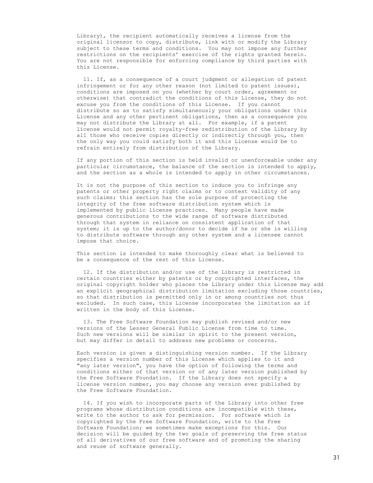Library), the recipient automatically receives a license from the original licensor to copy, distribute, link with or modify the Library subject to these terms and conditions. You may not impose any further restrictions on the recipients' exercise of the rights granted herein. You are not responsible for enforcing compliance by third parties with this License.

 11. If, as a consequence of a court judgment or allegation of patent infringement or for any other reason (not limited to patent issues), conditions are imposed on you (whether by court order, agreement or otherwise) that contradict the conditions of this License, they do not excuse you from the conditions of this License. If you cannot distribute so as to satisfy simultaneously your obligations under this License and any other pertinent obligations, then as a consequence you may not distribute the Library at all. For example, if a patent license would not permit royalty-free redistribution of the Library by all those who receive copies directly or indirectly through you, then the only way you could satisfy both it and this License would be to refrain entirely from distribution of the Library.

If any portion of this section is held invalid or unenforceable under any particular circumstance, the balance of the section is intended to apply, and the section as a whole is intended to apply in other circumstances.

It is not the purpose of this section to induce you to infringe any patents or other property right claims or to contest validity of any such claims; this section has the sole purpose of protecting the integrity of the free software distribution system which is implemented by public license practices. Many people have made generous contributions to the wide range of software distributed through that system in reliance on consistent application of that system; it is up to the author/donor to decide if he or she is willing to distribute software through any other system and a licensee cannot impose that choice.

This section is intended to make thoroughly clear what is believed to be a consequence of the rest of this License.

 12. If the distribution and/or use of the Library is restricted in certain countries either by patents or by copyrighted interfaces, the original copyright holder who places the Library under this License may add an explicit geographical distribution limitation excluding those countries, so that distribution is permitted only in or among countries not thus excluded. In such case, this License incorporates the limitation as if written in the body of this License.

 13. The Free Software Foundation may publish revised and/or new versions of the Lesser General Public License from time to time. Such new versions will be similar in spirit to the present version, but may differ in detail to address new problems or concerns.

Each version is given a distinguishing version number. If the Library specifies a version number of this License which applies to it and "any later version", you have the option of following the terms and conditions either of that version or of any later version published by the Free Software Foundation. If the Library does not specify a license version number, you may choose any version ever published by the Free Software Foundation.

 14. If you wish to incorporate parts of the Library into other free programs whose distribution conditions are incompatible with these, write to the author to ask for permission. For software which is copyrighted by the Free Software Foundation, write to the Free Software Foundation; we sometimes make exceptions for this. Our decision will be guided by the two goals of preserving the free status of all derivatives of our free software and of promoting the sharing and reuse of software generally.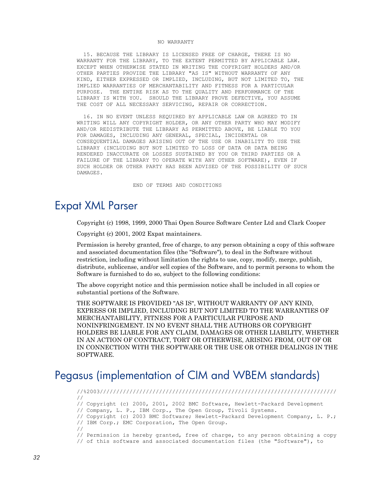#### NO WARRANTY

 15. BECAUSE THE LIBRARY IS LICENSED FREE OF CHARGE, THERE IS NO WARRANTY FOR THE LIBRARY, TO THE EXTENT PERMITTED BY APPLICABLE LAW. EXCEPT WHEN OTHERWISE STATED IN WRITING THE COPYRIGHT HOLDERS AND/OR OTHER PARTIES PROVIDE THE LIBRARY "AS IS" WITHOUT WARRANTY OF ANY KIND, EITHER EXPRESSED OR IMPLIED, INCLUDING, BUT NOT LIMITED TO, THE IMPLIED WARRANTIES OF MERCHANTABILITY AND FITNESS FOR A PARTICULAR PURPOSE. THE ENTIRE RISK AS TO THE QUALITY AND PERFORMANCE OF THE LIBRARY IS WITH YOU. SHOULD THE LIBRARY PROVE DEFECTIVE, YOU ASSUME THE COST OF ALL NECESSARY SERVICING, REPAIR OR CORRECTION.

 16. IN NO EVENT UNLESS REQUIRED BY APPLICABLE LAW OR AGREED TO IN WRITING WILL ANY COPYRIGHT HOLDER, OR ANY OTHER PARTY WHO MAY MODIFY AND/OR REDISTRIBUTE THE LIBRARY AS PERMITTED ABOVE, BE LIABLE TO YOU FOR DAMAGES, INCLUDING ANY GENERAL, SPECIAL, INCIDENTAL OR CONSEQUENTIAL DAMAGES ARISING OUT OF THE USE OR INABILITY TO USE THE LIBRARY (INCLUDING BUT NOT LIMITED TO LOSS OF DATA OR DATA BEING RENDERED INACCURATE OR LOSSES SUSTAINED BY YOU OR THIRD PARTIES OR A FAILURE OF THE LIBRARY TO OPERATE WITH ANY OTHER SOFTWARE), EVEN IF SUCH HOLDER OR OTHER PARTY HAS BEEN ADVISED OF THE POSSIBILITY OF SUCH DAMAGES.

END OF TERMS AND CONDITIONS

### <span id="page-31-0"></span>Expat XML Parser

Copyright (c) 1998, 1999, 2000 Thai Open Source Software Center Ltd and Clark Cooper

Copyright (c) 2001, 2002 Expat maintainers.

Permission is hereby granted, free of charge, to any person obtaining a copy of this software and associated documentation files (the "Software"), to deal in the Software without restriction, including without limitation the rights to use, copy, modify, merge, publish, distribute, sublicense, and/or sell copies of the Software, and to permit persons to whom the Software is furnished to do so, subject to the following conditions:

The above copyright notice and this permission notice shall be included in all copies or substantial portions of the Software.

THE SOFTWARE IS PROVIDED "AS IS", WITHOUT WARRANTY OF ANY KIND, EXPRESS OR IMPLIED, INCLUDING BUT NOT LIMITED TO THE WARRANTIES OF MERCHANTABILITY, FITNESS FOR A PARTICULAR PURPOSE AND NONINFRINGEMENT. IN NO EVENT SHALL THE AUTHORS OR COPYRIGHT HOLDERS BE LIABLE FOR ANY CLAIM, DAMAGES OR OTHER LIABILITY, WHETHER IN AN ACTION OF CONTRACT, TORT OR OTHERWISE, ARISING FROM, OUT OF OR IN CONNECTION WITH THE SOFTWARE OR THE USE OR OTHER DEALINGS IN THE **SOFTWARE** 

## <span id="page-31-1"></span>Pegasus (implementation of CIM and WBEM standards)

//%2003//////////////////////////////////////////////////////////////////////// // // Copyright (c) 2000, 2001, 2002 BMC Software, Hewlett-Packard Development // Company, L. P., IBM Corp., The Open Group, Tivoli Systems. // Copyright (c) 2003 BMC Software; Hewlett-Packard Development Company, L. P.; // IBM Corp.; EMC Corporation, The Open Group. // // Permission is hereby granted, free of charge, to any person obtaining a copy

// of this software and associated documentation files (the "Software"), to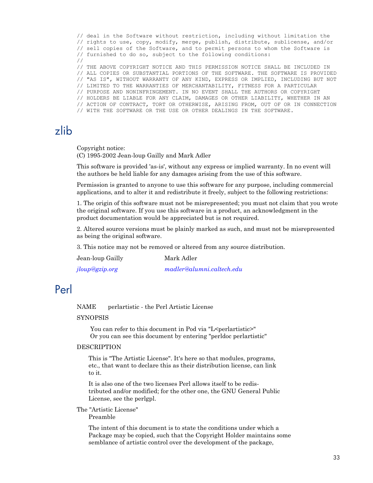// deal in the Software without restriction, including without limitation the // rights to use, copy, modify, merge, publish, distribute, sublicense, and/or // sell copies of the Software, and to permit persons to whom the Software is // furnished to do so, subject to the following conditions: // // THE ABOVE COPYRIGHT NOTICE AND THIS PERMISSION NOTICE SHALL BE INCLUDED IN // ALL COPIES OR SUBSTANTIAL PORTIONS OF THE SOFTWARE. THE SOFTWARE IS PROVIDED // "AS IS", WITHOUT WARRANTY OF ANY KIND, EXPRESS OR IMPLIED, INCLUDING BUT NOT // LIMITED TO THE WARRANTIES OF MERCHANTABILITY, FITNESS FOR A PARTICULAR // PURPOSE AND NONINFRINGEMENT. IN NO EVENT SHALL THE AUTHORS OR COPYRIGHT // HOLDERS BE LIABLE FOR ANY CLAIM, DAMAGES OR OTHER LIABILITY, WHETHER IN AN // ACTION OF CONTRACT, TORT OR OTHERWISE, ARISING FROM, OUT OF OR IN CONNECTION // WITH THE SOFTWARE OR THE USE OR OTHER DEALINGS IN THE SOFTWARE.

### <span id="page-32-0"></span>zlib

Copyright notice:

(C) 1995-2002 Jean-loup Gailly and Mark Adler

This software is provided 'as-is', without any express or implied warranty. In no event will the authors be held liable for any damages arising from the use of this software.

Permission is granted to anyone to use this software for any purpose, including commercial applications, and to alter it and redistribute it freely, subject to the following restrictions:

1. The origin of this software must not be misrepresented; you must not claim that you wrote the original software. If you use this software in a product, an acknowledgment in the product documentation would be appreciated but is not required.

2. Altered source versions must be plainly marked as such, and must not be misrepresented as being the original software.

3. This notice may not be removed or altered from any source distribution.

Jean-loup Gailly Mark Adler *[jloup@gzip.org](mailto:jloup@gzip.org) [madler@alumni.caltech.edu](mailto:madler@alumni.caltech.edu)*

### <span id="page-32-1"></span>Perl

NAME perlartistic - the Perl Artistic License

#### **SYNOPSIS**

You can refer to this document in Pod via "L<perlartistic>" Or you can see this document by entering "perldoc perlartistic"

#### DESCRIPTION

 This is "The Artistic License". It's here so that modules, programs, etc., that want to declare this as their distribution license, can link to it.

 It is also one of the two licenses Perl allows itself to be redis tributed and/or modified; for the other one, the GNU General Public License, see the perlgpl.

The "Artistic License"

Preamble

 The intent of this document is to state the conditions under which a Package may be copied, such that the Copyright Holder maintains some semblance of artistic control over the development of the package,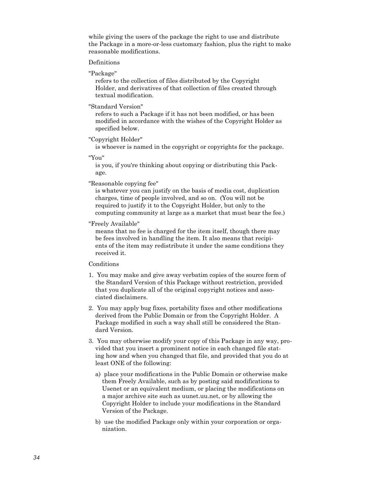while giving the users of the package the right to use and distribute the Package in a more-or-less customary fashion, plus the right to make reasonable modifications.

#### Definitions

"Package"

 refers to the collection of files distributed by the Copyright Holder, and derivatives of that collection of files created through textual modification.

"Standard Version"

 refers to such a Package if it has not been modified, or has been modified in accordance with the wishes of the Copyright Holder as specified below.

"Copyright Holder"

is whoever is named in the copyright or copyrights for the package.

#### "You"

 is you, if you're thinking about copying or distributing this Pack age.

"Reasonable copying fee"

 is whatever you can justify on the basis of media cost, duplication charges, time of people involved, and so on. (You will not be required to justify it to the Copyright Holder, but only to the computing community at large as a market that must bear the fee.)

"Freely Available"

 means that no fee is charged for the item itself, though there may be fees involved in handling the item. It also means that recipi ents of the item may redistribute it under the same conditions they received it.

#### Conditions

- 1. You may make and give away verbatim copies of the source form of the Standard Version of this Package without restriction, provided that you duplicate all of the original copyright notices and asso ciated disclaimers.
- 2. You may apply bug fixes, portability fixes and other modifications derived from the Public Domain or from the Copyright Holder. A Package modified in such a way shall still be considered the Stan dard Version.
- 3. You may otherwise modify your copy of this Package in any way, pro vided that you insert a prominent notice in each changed file stat ing how and when you changed that file, and provided that you do at least ONE of the following:
	- a) place your modifications in the Public Domain or otherwise make them Freely Available, such as by posting said modifications to Usenet or an equivalent medium, or placing the modifications on a major archive site such as uunet.uu.net, or by allowing the Copyright Holder to include your modifications in the Standard Version of the Package.
	- b) use the modified Package only within your corporation or orga nization.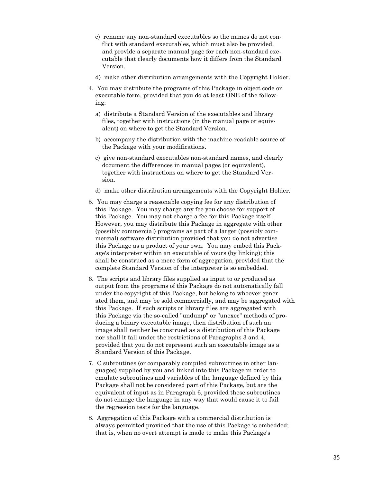- c) rename any non-standard executables so the names do not con flict with standard executables, which must also be provided, and provide a separate manual page for each non-standard exe cutable that clearly documents how it differs from the Standard Version.
- d) make other distribution arrangements with the Copyright Holder.
- 4. You may distribute the programs of this Package in object code or executable form, provided that you do at least ONE of the follow ing:
	- a) distribute a Standard Version of the executables and library files, together with instructions (in the manual page or equiv alent) on where to get the Standard Version.
	- b) accompany the distribution with the machine-readable source of the Package with your modifications.
	- c) give non-standard executables non-standard names, and clearly document the differences in manual pages (or equivalent), together with instructions on where to get the Standard Ver sion.
	- d) make other distribution arrangements with the Copyright Holder.
- 5. You may charge a reasonable copying fee for any distribution of this Package. You may charge any fee you choose for support of this Package. You may not charge a fee for this Package itself. However, you may distribute this Package in aggregate with other (possibly commercial) programs as part of a larger (possibly com mercial) software distribution provided that you do not advertise this Package as a product of your own. You may embed this Pack age's interpreter within an executable of yours (by linking); this shall be construed as a mere form of aggregation, provided that the complete Standard Version of the interpreter is so embedded.
- 6. The scripts and library files supplied as input to or produced as output from the programs of this Package do not automatically fall under the copyright of this Package, but belong to whoever gener ated them, and may be sold commercially, and may be aggregated with this Package. If such scripts or library files are aggregated with this Package via the so-called "undump" or "unexec" methods of pro ducing a binary executable image, then distribution of such an image shall neither be construed as a distribution of this Package nor shall it fall under the restrictions of Paragraphs 3 and 4, provided that you do not represent such an executable image as a Standard Version of this Package.
- 7. C subroutines (or comparably compiled subroutines in other lan guages) supplied by you and linked into this Package in order to emulate subroutines and variables of the language defined by this Package shall not be considered part of this Package, but are the equivalent of input as in Paragraph 6, provided these subroutines do not change the language in any way that would cause it to fail the regression tests for the language.
- 8. Aggregation of this Package with a commercial distribution is always permitted provided that the use of this Package is embedded; that is, when no overt attempt is made to make this Package's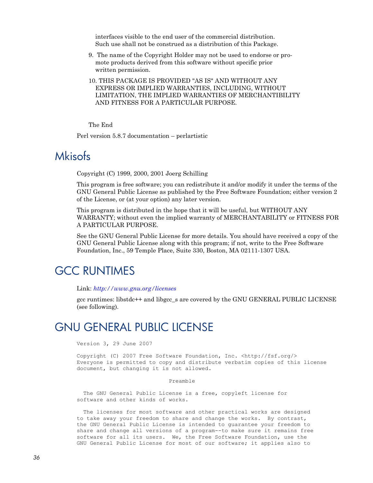interfaces visible to the end user of the commercial distribution. Such use shall not be construed as a distribution of this Package.

- 9. The name of the Copyright Holder may not be used to endorse or pro mote products derived from this software without specific prior written permission.
- 10. THIS PACKAGE IS PROVIDED "AS IS" AND WITHOUT ANY EXPRESS OR IMPLIED WARRANTIES, INCLUDING, WITHOUT LIMITATION, THE IMPLIED WARRANTIES OF MERCHANTIBILITY AND FITNESS FOR A PARTICULAR PURPOSE.

The End

Perl version 5.8.7 documentation – perlartistic

## <span id="page-35-0"></span>Mkisofs

Copyright (C) 1999, 2000, 2001 Joerg Schilling

This program is free software; you can redistribute it and/or modify it under the terms of the GNU General Public License as published by the Free Software Foundation; either version 2 of the License, or (at your option) any later version.

This program is distributed in the hope that it will be useful, but WITHOUT ANY WARRANTY; without even the implied warranty of MERCHANTABILITY or FITNESS FOR A PARTICULAR PURPOSE.

See the GNU General Public License for more details. You should have received a copy of the GNU General Public License along with this program; if not, write to the Free Software Foundation, Inc., 59 Temple Place, Suite 330, Boston, MA 02111-1307 USA.

### <span id="page-35-1"></span>[GCC RUNTIMES](http://www.gnu.org/licenses/old-licenses/gpl-2.0.html#TOC1)

Link: *<http://www.gnu.org/licenses>*

gcc runtimes: libstdc++ and libgcc\_s are covered by the GNU GENERAL PUBLIC LICENSE (see following).

## <span id="page-35-2"></span>[GNU GENERAL PUBLIC LICENSE](http://www.gnu.org/licenses/old-licenses/gpl-2.0.html#TOC1)

Version 3, 29 June 2007

Copyright (C) 2007 Free Software Foundation, Inc. <http://fsf.org/> Everyone is permitted to copy and distribute verbatim copies of this license document, but changing it is not allowed.

#### Preamble

 The GNU General Public License is a free, copyleft license for software and other kinds of works.

 The licenses for most software and other practical works are designed to take away your freedom to share and change the works. By contrast, the GNU General Public License is intended to guarantee your freedom to share and change all versions of a program--to make sure it remains free software for all its users. We, the Free Software Foundation, use the GNU General Public License for most of our software; it applies also to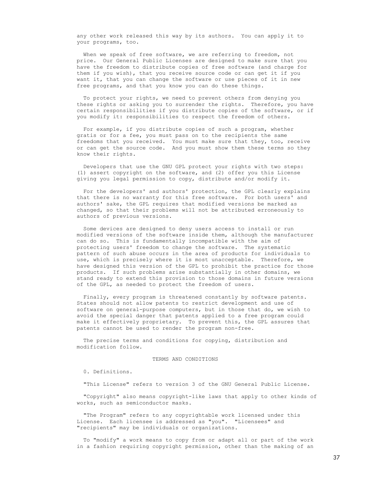any other work released this way by its authors. You can apply it to your programs, too.

 When we speak of free software, we are referring to freedom, not price. Our General Public Licenses are designed to make sure that you have the freedom to distribute copies of free software (and charge for them if you wish), that you receive source code or can get it if you want it, that you can change the software or use pieces of it in new free programs, and that you know you can do these things.

 To protect your rights, we need to prevent others from denying you these rights or asking you to surrender the rights. Therefore, you have certain responsibilities if you distribute copies of the software, or if you modify it: responsibilities to respect the freedom of others.

 For example, if you distribute copies of such a program, whether gratis or for a fee, you must pass on to the recipients the same freedoms that you received. You must make sure that they, too, receive or can get the source code. And you must show them these terms so they know their rights.

 Developers that use the GNU GPL protect your rights with two steps: (1) assert copyright on the software, and (2) offer you this License giving you legal permission to copy, distribute and/or modify it.

 For the developers' and authors' protection, the GPL clearly explains that there is no warranty for this free software. For both users' and authors' sake, the GPL requires that modified versions be marked as changed, so that their problems will not be attributed erroneously to authors of previous versions.

 Some devices are designed to deny users access to install or run modified versions of the software inside them, although the manufacturer can do so. This is fundamentally incompatible with the aim of protecting users' freedom to change the software. The systematic pattern of such abuse occurs in the area of products for individuals to use, which is precisely where it is most unacceptable. Therefore, we have designed this version of the GPL to prohibit the practice for those products. If such problems arise substantially in other domains, we stand ready to extend this provision to those domains in future versions of the GPL, as needed to protect the freedom of users.

Finally, every program is threatened constantly by software patents. States should not allow patents to restrict development and use of software on general-purpose computers, but in those that do, we wish to avoid the special danger that patents applied to a free program could make it effectively proprietary. To prevent this, the GPL assures that patents cannot be used to render the program non-free.

 The precise terms and conditions for copying, distribution and modification follow.

#### TERMS AND CONDITIONS

0. Definitions.

"This License" refers to version 3 of the GNU General Public License.

 "Copyright" also means copyright-like laws that apply to other kinds of works, such as semiconductor masks.

 "The Program" refers to any copyrightable work licensed under this License. Each licensee is addressed as "you". "Licensees" and "recipients" may be individuals or organizations.

 To "modify" a work means to copy from or adapt all or part of the work in a fashion requiring copyright permission, other than the making of an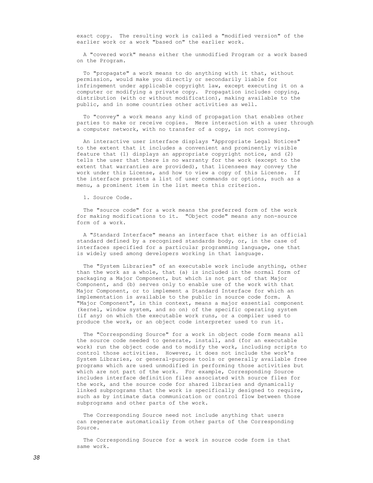exact copy. The resulting work is called a "modified version" of the earlier work or a work "based on" the earlier work.

 A "covered work" means either the unmodified Program or a work based on the Program.

 To "propagate" a work means to do anything with it that, without permission, would make you directly or secondarily liable for infringement under applicable copyright law, except executing it on a computer or modifying a private copy. Propagation includes copying, distribution (with or without modification), making available to the public, and in some countries other activities as well.

 To "convey" a work means any kind of propagation that enables other parties to make or receive copies. Mere interaction with a user through a computer network, with no transfer of a copy, is not conveying.

 An interactive user interface displays "Appropriate Legal Notices" to the extent that it includes a convenient and prominently visible feature that (1) displays an appropriate copyright notice, and (2) tells the user that there is no warranty for the work (except to the extent that warranties are provided), that licensees may convey the work under this License, and how to view a copy of this License. If the interface presents a list of user commands or options, such as a menu, a prominent item in the list meets this criterion.

1. Source Code.

 The "source code" for a work means the preferred form of the work for making modifications to it. "Object code" means any non-source form of a work.

 A "Standard Interface" means an interface that either is an official standard defined by a recognized standards body, or, in the case of interfaces specified for a particular programming language, one that is widely used among developers working in that language.

 The "System Libraries" of an executable work include anything, other than the work as a whole, that (a) is included in the normal form of packaging a Major Component, but which is not part of that Major Component, and (b) serves only to enable use of the work with that Major Component, or to implement a Standard Interface for which an implementation is available to the public in source code form. A "Major Component", in this context, means a major essential component (kernel, window system, and so on) of the specific operating system (if any) on which the executable work runs, or a compiler used to produce the work, or an object code interpreter used to run it.

 The "Corresponding Source" for a work in object code form means all the source code needed to generate, install, and (for an executable work) run the object code and to modify the work, including scripts to control those activities. However, it does not include the work's System Libraries, or general-purpose tools or generally available free programs which are used unmodified in performing those activities but which are not part of the work. For example, Corresponding Source includes interface definition files associated with source files for the work, and the source code for shared libraries and dynamically linked subprograms that the work is specifically designed to require, such as by intimate data communication or control flow between those subprograms and other parts of the work.

 The Corresponding Source need not include anything that users can regenerate automatically from other parts of the Corresponding Source.

 The Corresponding Source for a work in source code form is that same work.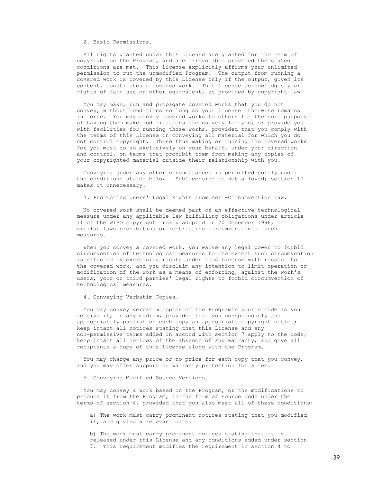#### 2. Basic Permissions.

 All rights granted under this License are granted for the term of copyright on the Program, and are irrevocable provided the stated conditions are met. This License explicitly affirms your unlimited permission to run the unmodified Program. The output from running a covered work is covered by this License only if the output, given its content, constitutes a covered work. This License acknowledges your rights of fair use or other equivalent, as provided by copyright law.

 You may make, run and propagate covered works that you do not convey, without conditions so long as your license otherwise remains in force. You may convey covered works to others for the sole purpose of having them make modifications exclusively for you, or provide you with facilities for running those works, provided that you comply with the terms of this License in conveying all material for which you do not control copyright. Those thus making or running the covered works for you must do so exclusively on your behalf, under your direction and control, on terms that prohibit them from making any copies of your copyrighted material outside their relationship with you.

 Conveying under any other circumstances is permitted solely under the conditions stated below. Sublicensing is not allowed; section 10 makes it unnecessary.

3. Protecting Users' Legal Rights From Anti-Circumvention Law.

 No covered work shall be deemed part of an effective technological measure under any applicable law fulfilling obligations under article 11 of the WIPO copyright treaty adopted on 20 December 1996, or similar laws prohibiting or restricting circumvention of such measures.

 When you convey a covered work, you waive any legal power to forbid circumvention of technological measures to the extent such circumvention is effected by exercising rights under this License with respect to the covered work, and you disclaim any intention to limit operation or modification of the work as a means of enforcing, against the work's users, your or third parties' legal rights to forbid circumvention of technological measures.

4. Conveying Verbatim Copies.

 You may convey verbatim copies of the Program's source code as you receive it, in any medium, provided that you conspicuously and appropriately publish on each copy an appropriate copyright notice; keep intact all notices stating that this License and any non-permissive terms added in accord with section 7 apply to the code; keep intact all notices of the absence of any warranty; and give all recipients a copy of this License along with the Program.

You may charge any price or no price for each copy that you convey, and you may offer support or warranty protection for a fee.

5. Conveying Modified Source Versions.

 You may convey a work based on the Program, or the modifications to produce it from the Program, in the form of source code under the terms of section 4, provided that you also meet all of these conditions:

 a) The work must carry prominent notices stating that you modified it, and giving a relevant date.

 b) The work must carry prominent notices stating that it is released under this License and any conditions added under section 7. This requirement modifies the requirement in section 4 to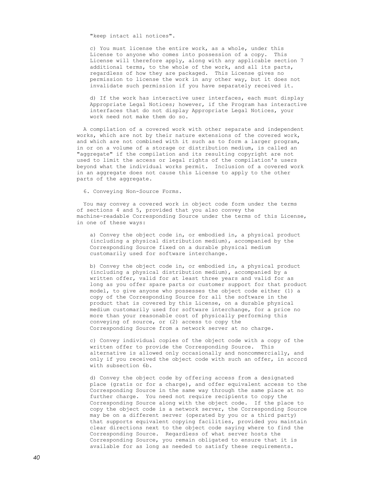"keep intact all notices".

 c) You must license the entire work, as a whole, under this License to anyone who comes into possession of a copy. This License will therefore apply, along with any applicable section 7 additional terms, to the whole of the work, and all its parts, regardless of how they are packaged. This License gives no permission to license the work in any other way, but it does not invalidate such permission if you have separately received it.

 d) If the work has interactive user interfaces, each must display Appropriate Legal Notices; however, if the Program has interactive interfaces that do not display Appropriate Legal Notices, your work need not make them do so.

 A compilation of a covered work with other separate and independent works, which are not by their nature extensions of the covered work, and which are not combined with it such as to form a larger program, in or on a volume of a storage or distribution medium, is called an "aggregate" if the compilation and its resulting copyright are not used to limit the access or legal rights of the compilation's users beyond what the individual works permit. Inclusion of a covered work in an aggregate does not cause this License to apply to the other parts of the aggregate.

6. Conveying Non-Source Forms.

 You may convey a covered work in object code form under the terms of sections 4 and 5, provided that you also convey the machine-readable Corresponding Source under the terms of this License, in one of these ways:

 a) Convey the object code in, or embodied in, a physical product (including a physical distribution medium), accompanied by the Corresponding Source fixed on a durable physical medium customarily used for software interchange.

 b) Convey the object code in, or embodied in, a physical product (including a physical distribution medium), accompanied by a written offer, valid for at least three years and valid for as long as you offer spare parts or customer support for that product model, to give anyone who possesses the object code either (1) a copy of the Corresponding Source for all the software in the product that is covered by this License, on a durable physical medium customarily used for software interchange, for a price no more than your reasonable cost of physically performing this conveying of source, or (2) access to copy the Corresponding Source from a network server at no charge.

 c) Convey individual copies of the object code with a copy of the written offer to provide the Corresponding Source. This alternative is allowed only occasionally and noncommercially, and only if you received the object code with such an offer, in accord with subsection 6b.

 d) Convey the object code by offering access from a designated place (gratis or for a charge), and offer equivalent access to the Corresponding Source in the same way through the same place at no further charge. You need not require recipients to copy the Corresponding Source along with the object code. If the place to copy the object code is a network server, the Corresponding Source may be on a different server (operated by you or a third party) that supports equivalent copying facilities, provided you maintain clear directions next to the object code saying where to find the Corresponding Source. Regardless of what server hosts the Corresponding Source, you remain obligated to ensure that it is available for as long as needed to satisfy these requirements.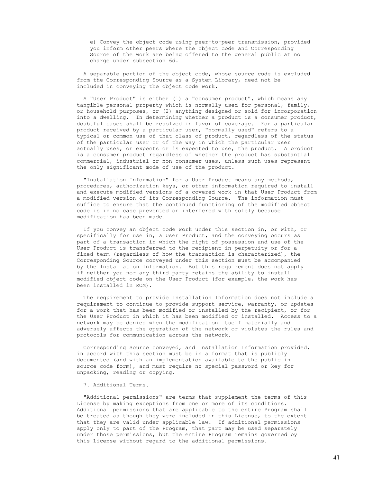e) Convey the object code using peer-to-peer transmission, provided you inform other peers where the object code and Corresponding Source of the work are being offered to the general public at no charge under subsection 6d.

 A separable portion of the object code, whose source code is excluded from the Corresponding Source as a System Library, need not be included in conveying the object code work.

 A "User Product" is either (1) a "consumer product", which means any tangible personal property which is normally used for personal, family, or household purposes, or (2) anything designed or sold for incorporation into a dwelling. In determining whether a product is a consumer product, doubtful cases shall be resolved in favor of coverage. For a particular product received by a particular user, "normally used" refers to a typical or common use of that class of product, regardless of the status of the particular user or of the way in which the particular user actually uses, or expects or is expected to use, the product. A product is a consumer product regardless of whether the product has substantial commercial, industrial or non-consumer uses, unless such uses represent the only significant mode of use of the product.

 "Installation Information" for a User Product means any methods, procedures, authorization keys, or other information required to install and execute modified versions of a covered work in that User Product from a modified version of its Corresponding Source. The information must suffice to ensure that the continued functioning of the modified object code is in no case prevented or interfered with solely because modification has been made.

 If you convey an object code work under this section in, or with, or specifically for use in, a User Product, and the conveying occurs as part of a transaction in which the right of possession and use of the User Product is transferred to the recipient in perpetuity or for a fixed term (regardless of how the transaction is characterized), the Corresponding Source conveyed under this section must be accompanied by the Installation Information. But this requirement does not apply if neither you nor any third party retains the ability to install modified object code on the User Product (for example, the work has been installed in ROM).

 The requirement to provide Installation Information does not include a requirement to continue to provide support service, warranty, or updates for a work that has been modified or installed by the recipient, or for the User Product in which it has been modified or installed. Access to a network may be denied when the modification itself materially and adversely affects the operation of the network or violates the rules and protocols for communication across the network.

 Corresponding Source conveyed, and Installation Information provided, in accord with this section must be in a format that is publicly documented (and with an implementation available to the public in source code form), and must require no special password or key for unpacking, reading or copying.

#### 7. Additional Terms.

 "Additional permissions" are terms that supplement the terms of this License by making exceptions from one or more of its conditions. Additional permissions that are applicable to the entire Program shall be treated as though they were included in this License, to the extent that they are valid under applicable law. If additional permissions apply only to part of the Program, that part may be used separately under those permissions, but the entire Program remains governed by this License without regard to the additional permissions.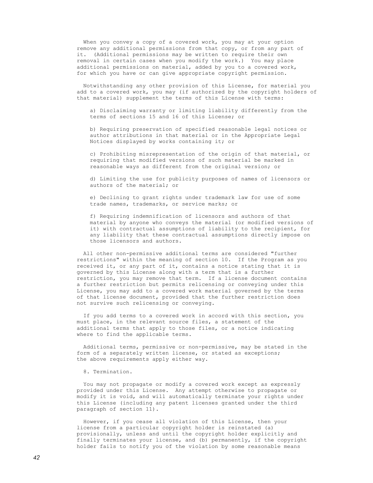When you convey a copy of a covered work, you may at your option remove any additional permissions from that copy, or from any part of it. (Additional permissions may be written to require their own removal in certain cases when you modify the work.) You may place additional permissions on material, added by you to a covered work, for which you have or can give appropriate copyright permission.

 Notwithstanding any other provision of this License, for material you add to a covered work, you may (if authorized by the copyright holders of that material) supplement the terms of this License with terms:

 a) Disclaiming warranty or limiting liability differently from the terms of sections 15 and 16 of this License; or

 b) Requiring preservation of specified reasonable legal notices or author attributions in that material or in the Appropriate Legal Notices displayed by works containing it; or

 c) Prohibiting misrepresentation of the origin of that material, or requiring that modified versions of such material be marked in reasonable ways as different from the original version; or

 d) Limiting the use for publicity purposes of names of licensors or authors of the material; or

 e) Declining to grant rights under trademark law for use of some trade names, trademarks, or service marks; or

 f) Requiring indemnification of licensors and authors of that material by anyone who conveys the material (or modified versions of it) with contractual assumptions of liability to the recipient, for any liability that these contractual assumptions directly impose on those licensors and authors.

 All other non-permissive additional terms are considered "further restrictions" within the meaning of section 10. If the Program as you received it, or any part of it, contains a notice stating that it is governed by this License along with a term that is a further restriction, you may remove that term. If a license document contains a further restriction but permits relicensing or conveying under this License, you may add to a covered work material governed by the terms of that license document, provided that the further restriction does not survive such relicensing or conveying.

 If you add terms to a covered work in accord with this section, you must place, in the relevant source files, a statement of the additional terms that apply to those files, or a notice indicating where to find the applicable terms.

 Additional terms, permissive or non-permissive, may be stated in the form of a separately written license, or stated as exceptions; the above requirements apply either way.

#### 8. Termination.

 You may not propagate or modify a covered work except as expressly provided under this License. Any attempt otherwise to propagate or modify it is void, and will automatically terminate your rights under this License (including any patent licenses granted under the third paragraph of section 11).

 However, if you cease all violation of this License, then your license from a particular copyright holder is reinstated (a) provisionally, unless and until the copyright holder explicitly and finally terminates your license, and (b) permanently, if the copyright holder fails to notify you of the violation by some reasonable means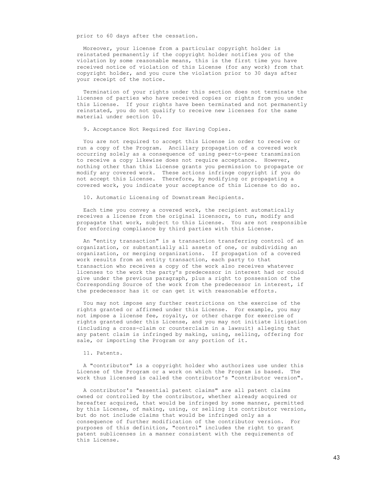prior to 60 days after the cessation.

 Moreover, your license from a particular copyright holder is reinstated permanently if the copyright holder notifies you of the violation by some reasonable means, this is the first time you have received notice of violation of this License (for any work) from that copyright holder, and you cure the violation prior to 30 days after your receipt of the notice.

 Termination of your rights under this section does not terminate the licenses of parties who have received copies or rights from you under this License. If your rights have been terminated and not permanently reinstated, you do not qualify to receive new licenses for the same material under section 10.

9. Acceptance Not Required for Having Copies.

 You are not required to accept this License in order to receive or run a copy of the Program. Ancillary propagation of a covered work occurring solely as a consequence of using peer-to-peer transmission to receive a copy likewise does not require acceptance. However, nothing other than this License grants you permission to propagate or modify any covered work. These actions infringe copyright if you do not accept this License. Therefore, by modifying or propagating a covered work, you indicate your acceptance of this License to do so.

10. Automatic Licensing of Downstream Recipients.

 Each time you convey a covered work, the recipient automatically receives a license from the original licensors, to run, modify and propagate that work, subject to this License. You are not responsible for enforcing compliance by third parties with this License.

 An "entity transaction" is a transaction transferring control of an organization, or substantially all assets of one, or subdividing an organization, or merging organizations. If propagation of a covered work results from an entity transaction, each party to that transaction who receives a copy of the work also receives whatever licenses to the work the party's predecessor in interest had or could give under the previous paragraph, plus a right to possession of the Corresponding Source of the work from the predecessor in interest, if the predecessor has it or can get it with reasonable efforts.

 You may not impose any further restrictions on the exercise of the rights granted or affirmed under this License. For example, you may not impose a license fee, royalty, or other charge for exercise of rights granted under this License, and you may not initiate litigation (including a cross-claim or counterclaim in a lawsuit) alleging that any patent claim is infringed by making, using, selling, offering for sale, or importing the Program or any portion of it.

#### 11. Patents.

 A "contributor" is a copyright holder who authorizes use under this License of the Program or a work on which the Program is based. The work thus licensed is called the contributor's "contributor version".

 A contributor's "essential patent claims" are all patent claims owned or controlled by the contributor, whether already acquired or hereafter acquired, that would be infringed by some manner, permitted by this License, of making, using, or selling its contributor version, but do not include claims that would be infringed only as a consequence of further modification of the contributor version. For purposes of this definition, "control" includes the right to grant patent sublicenses in a manner consistent with the requirements of this License.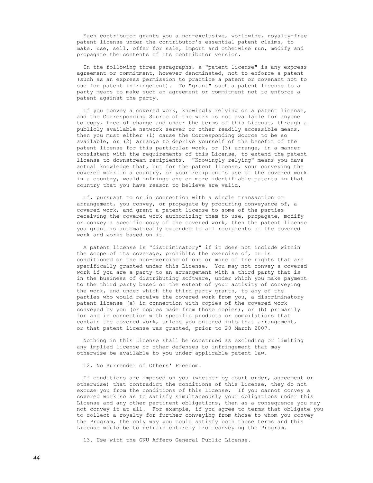Each contributor grants you a non-exclusive, worldwide, royalty-free patent license under the contributor's essential patent claims, to make, use, sell, offer for sale, import and otherwise run, modify and propagate the contents of its contributor version.

 In the following three paragraphs, a "patent license" is any express agreement or commitment, however denominated, not to enforce a patent (such as an express permission to practice a patent or covenant not to sue for patent infringement). To "grant" such a patent license to a party means to make such an agreement or commitment not to enforce a patent against the party.

If you convey a covered work, knowingly relying on a patent license, and the Corresponding Source of the work is not available for anyone to copy, free of charge and under the terms of this License, through a publicly available network server or other readily accessible means, then you must either (1) cause the Corresponding Source to be so available, or (2) arrange to deprive yourself of the benefit of the patent license for this particular work, or (3) arrange, in a manner consistent with the requirements of this License, to extend the patent license to downstream recipients. "Knowingly relying" means you have actual knowledge that, but for the patent license, your conveying the covered work in a country, or your recipient's use of the covered work in a country, would infringe one or more identifiable patents in that country that you have reason to believe are valid.

 If, pursuant to or in connection with a single transaction or arrangement, you convey, or propagate by procuring conveyance of, a covered work, and grant a patent license to some of the parties receiving the covered work authorizing them to use, propagate, modify or convey a specific copy of the covered work, then the patent license you grant is automatically extended to all recipients of the covered work and works based on it.

 A patent license is "discriminatory" if it does not include within the scope of its coverage, prohibits the exercise of, or is conditioned on the non-exercise of one or more of the rights that are specifically granted under this License. You may not convey a covered work if you are a party to an arrangement with a third party that is in the business of distributing software, under which you make payment to the third party based on the extent of your activity of conveying the work, and under which the third party grants, to any of the parties who would receive the covered work from you, a discriminatory patent license (a) in connection with copies of the covered work conveyed by you (or copies made from those copies), or (b) primarily for and in connection with specific products or compilations that contain the covered work, unless you entered into that arrangement, or that patent license was granted, prior to 28 March 2007.

 Nothing in this License shall be construed as excluding or limiting any implied license or other defenses to infringement that may otherwise be available to you under applicable patent law.

12. No Surrender of Others' Freedom.

 If conditions are imposed on you (whether by court order, agreement or otherwise) that contradict the conditions of this License, they do not excuse you from the conditions of this License. If you cannot convey a covered work so as to satisfy simultaneously your obligations under this License and any other pertinent obligations, then as a consequence you may not convey it at all. For example, if you agree to terms that obligate you to collect a royalty for further conveying from those to whom you convey the Program, the only way you could satisfy both those terms and this License would be to refrain entirely from conveying the Program.

13. Use with the GNU Affero General Public License.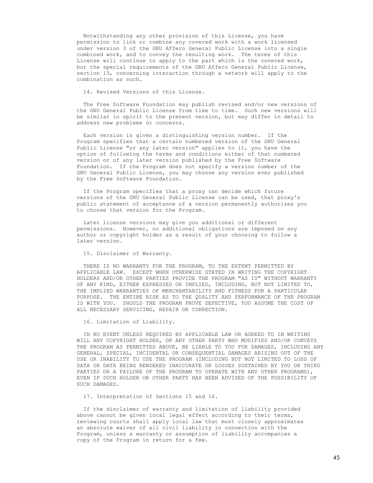Notwithstanding any other provision of this License, you have permission to link or combine any covered work with a work licensed under version 3 of the GNU Affero General Public License into a single combined work, and to convey the resulting work. The terms of this License will continue to apply to the part which is the covered work, but the special requirements of the GNU Affero General Public License, section 13, concerning interaction through a network will apply to the combination as such.

14. Revised Versions of this License.

 The Free Software Foundation may publish revised and/or new versions of the GNU General Public License from time to time. Such new versions will be similar in spirit to the present version, but may differ in detail to address new problems or concerns.

 Each version is given a distinguishing version number. If the Program specifies that a certain numbered version of the GNU General Public License "or any later version" applies to it, you have the option of following the terms and conditions either of that numbered version or of any later version published by the Free Software Foundation. If the Program does not specify a version number of the GNU General Public License, you may choose any version ever published by the Free Software Foundation.

 If the Program specifies that a proxy can decide which future versions of the GNU General Public License can be used, that proxy's public statement of acceptance of a version permanently authorizes you to choose that version for the Program.

 Later license versions may give you additional or different permissions. However, no additional obligations are imposed on any author or copyright holder as a result of your choosing to follow a later version.

15. Disclaimer of Warranty.

 THERE IS NO WARRANTY FOR THE PROGRAM, TO THE EXTENT PERMITTED BY APPLICABLE LAW. EXCEPT WHEN OTHERWISE STATED IN WRITING THE COPYRIGHT HOLDERS AND/OR OTHER PARTIES PROVIDE THE PROGRAM "AS IS" WITHOUT WARRANTY OF ANY KIND, EITHER EXPRESSED OR IMPLIED, INCLUDING, BUT NOT LIMITED TO, THE IMPLIED WARRANTIES OF MERCHANTABILITY AND FITNESS FOR A PARTICULAR PURPOSE. THE ENTIRE RISK AS TO THE QUALITY AND PERFORMANCE OF THE PROGRAM IS WITH YOU. SHOULD THE PROGRAM PROVE DEFECTIVE, YOU ASSUME THE COST OF ALL NECESSARY SERVICING, REPAIR OR CORRECTION.

16. Limitation of Liability.

 IN NO EVENT UNLESS REQUIRED BY APPLICABLE LAW OR AGREED TO IN WRITING WILL ANY COPYRIGHT HOLDER, OR ANY OTHER PARTY WHO MODIFIES AND/OR CONVEYS THE PROGRAM AS PERMITTED ABOVE, BE LIABLE TO YOU FOR DAMAGES, INCLUDING ANY GENERAL, SPECIAL, INCIDENTAL OR CONSEQUENTIAL DAMAGES ARISING OUT OF THE USE OR INABILITY TO USE THE PROGRAM (INCLUDING BUT NOT LIMITED TO LOSS OF DATA OR DATA BEING RENDERED INACCURATE OR LOSSES SUSTAINED BY YOU OR THIRD PARTIES OR A FAILURE OF THE PROGRAM TO OPERATE WITH ANY OTHER PROGRAMS), EVEN IF SUCH HOLDER OR OTHER PARTY HAS BEEN ADVISED OF THE POSSIBILITY OF SUCH DAMAGES.

17. Interpretation of Sections 15 and 16.

 If the disclaimer of warranty and limitation of liability provided above cannot be given local legal effect according to their terms, reviewing courts shall apply local law that most closely approximates an absolute waiver of all civil liability in connection with the Program, unless a warranty or assumption of liability accompanies a copy of the Program in return for a fee.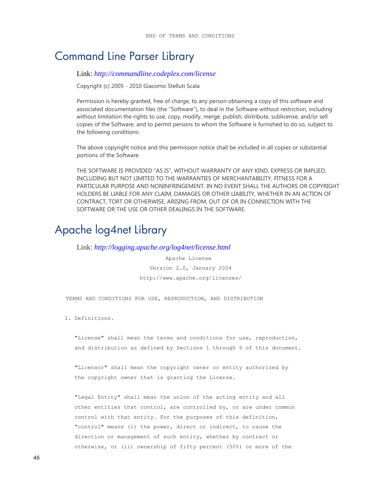### <span id="page-45-0"></span>Command Line Parser Library

#### Link: *<http://commandline.codeplex.com/license>*

Copyright (c) 2005 - 2010 Giacomo Stelluti Scala

Permission is hereby granted, free of charge, to any person obtaining a copy of this software and associated documentation files (the "Software"), to deal in the Software without restriction, including without limitation the rights to use, copy, modify, merge, publish, distribute, sublicense, and/or sell copies of the Software, and to permit persons to whom the Software is furnished to do so, subject to the following conditions:

The above copyright notice and this permission notice shall be included in all copies or substantial portions of the Software.

THE SOFTWARE IS PROVIDED "AS IS", WITHOUT WARRANTY OF ANY KIND, EXPRESS OR IMPLIED, INCLUDING BUT NOT LIMITED TO THE WARRANTIES OF MERCHANTABILITY, FITNESS FOR A PARTICULAR PURPOSE AND NONINFRINGEMENT. IN NO EVENT SHALL THE AUTHORS OR COPYRIGHT HOLDERS BE LIABLE FOR ANY CLAIM, DAMAGES OR OTHER LIABILITY, WHETHER IN AN ACTION OF CONTRACT, TORT OR OTHERWISE, ARISING FROM, OUT OF OR IN CONNECTION WITH THE SOFTWARE OR THE USE OR OTHER DEALINGS IN THE SOFTWARE.

## <span id="page-45-1"></span>Apache log4net Library

#### Link: *<http://logging.apache.org/log4net/license.html>*

Apache License Version 2.0, January 2004 http://www.apache.org/licenses/

TERMS AND CONDITIONS FOR USE, REPRODUCTION, AND DISTRIBUTION

1. Definitions.

 "License" shall mean the terms and conditions for use, reproduction, and distribution as defined by Sections 1 through 9 of this document.

 "Licensor" shall mean the copyright owner or entity authorized by the copyright owner that is granting the License.

 "Legal Entity" shall mean the union of the acting entity and all other entities that control, are controlled by, or are under common control with that entity. For the purposes of this definition, "control" means (i) the power, direct or indirect, to cause the direction or management of such entity, whether by contract or otherwise, or (ii) ownership of fifty percent (50%) or more of the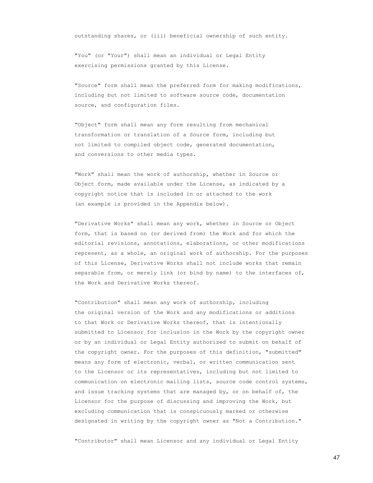outstanding shares, or (iii) beneficial ownership of such entity.

 "You" (or "Your") shall mean an individual or Legal Entity exercising permissions granted by this License.

 "Source" form shall mean the preferred form for making modifications, including but not limited to software source code, documentation source, and configuration files.

 "Object" form shall mean any form resulting from mechanical transformation or translation of a Source form, including but not limited to compiled object code, generated documentation, and conversions to other media types.

 "Work" shall mean the work of authorship, whether in Source or Object form, made available under the License, as indicated by a copyright notice that is included in or attached to the work (an example is provided in the Appendix below).

 "Derivative Works" shall mean any work, whether in Source or Object form, that is based on (or derived from) the Work and for which the editorial revisions, annotations, elaborations, or other modifications represent, as a whole, an original work of authorship. For the purposes of this License, Derivative Works shall not include works that remain separable from, or merely link (or bind by name) to the interfaces of, the Work and Derivative Works thereof.

 "Contribution" shall mean any work of authorship, including the original version of the Work and any modifications or additions to that Work or Derivative Works thereof, that is intentionally submitted to Licensor for inclusion in the Work by the copyright owner or by an individual or Legal Entity authorized to submit on behalf of the copyright owner. For the purposes of this definition, "submitted" means any form of electronic, verbal, or written communication sent to the Licensor or its representatives, including but not limited to communication on electronic mailing lists, source code control systems, and issue tracking systems that are managed by, or on behalf of, the Licensor for the purpose of discussing and improving the Work, but excluding communication that is conspicuously marked or otherwise designated in writing by the copyright owner as "Not a Contribution."

"Contributor" shall mean Licensor and any individual or Legal Entity

47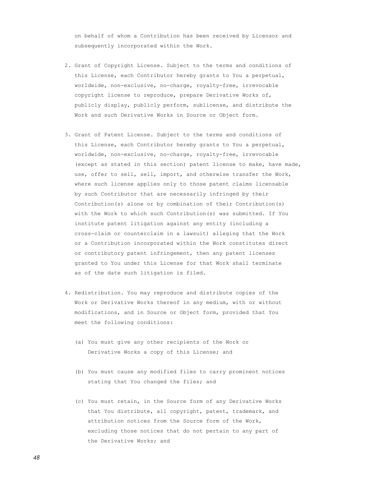on behalf of whom a Contribution has been received by Licensor and subsequently incorporated within the Work.

- 2. Grant of Copyright License. Subject to the terms and conditions of this License, each Contributor hereby grants to You a perpetual, worldwide, non-exclusive, no-charge, royalty-free, irrevocable copyright license to reproduce, prepare Derivative Works of, publicly display, publicly perform, sublicense, and distribute the Work and such Derivative Works in Source or Object form.
- 3. Grant of Patent License. Subject to the terms and conditions of this License, each Contributor hereby grants to You a perpetual, worldwide, non-exclusive, no-charge, royalty-free, irrevocable (except as stated in this section) patent license to make, have made, use, offer to sell, sell, import, and otherwise transfer the Work, where such license applies only to those patent claims licensable by such Contributor that are necessarily infringed by their Contribution(s) alone or by combination of their Contribution(s) with the Work to which such Contribution(s) was submitted. If You institute patent litigation against any entity (including a cross-claim or counterclaim in a lawsuit) alleging that the Work or a Contribution incorporated within the Work constitutes direct or contributory patent infringement, then any patent licenses granted to You under this License for that Work shall terminate as of the date such litigation is filed.
- 4. Redistribution. You may reproduce and distribute copies of the Work or Derivative Works thereof in any medium, with or without modifications, and in Source or Object form, provided that You meet the following conditions:
	- (a) You must give any other recipients of the Work or Derivative Works a copy of this License; and
	- (b) You must cause any modified files to carry prominent notices stating that You changed the files; and
	- (c) You must retain, in the Source form of any Derivative Works that You distribute, all copyright, patent, trademark, and attribution notices from the Source form of the Work, excluding those notices that do not pertain to any part of the Derivative Works; and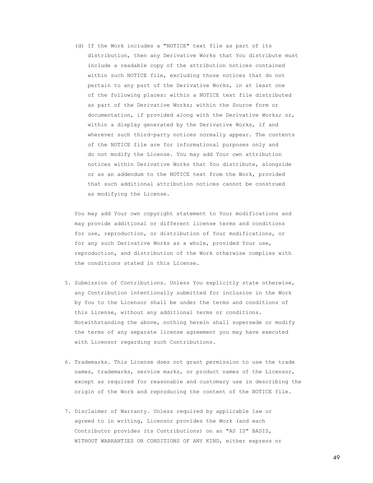(d) If the Work includes a "NOTICE" text file as part of its distribution, then any Derivative Works that You distribute must include a readable copy of the attribution notices contained within such NOTICE file, excluding those notices that do not pertain to any part of the Derivative Works, in at least one of the following places: within a NOTICE text file distributed as part of the Derivative Works; within the Source form or documentation, if provided along with the Derivative Works; or, within a display generated by the Derivative Works, if and wherever such third-party notices normally appear. The contents of the NOTICE file are for informational purposes only and do not modify the License. You may add Your own attribution notices within Derivative Works that You distribute, alongside or as an addendum to the NOTICE text from the Work, provided that such additional attribution notices cannot be construed as modifying the License.

 You may add Your own copyright statement to Your modifications and may provide additional or different license terms and conditions for use, reproduction, or distribution of Your modifications, or for any such Derivative Works as a whole, provided Your use, reproduction, and distribution of the Work otherwise complies with the conditions stated in this License.

- 5. Submission of Contributions. Unless You explicitly state otherwise, any Contribution intentionally submitted for inclusion in the Work by You to the Licensor shall be under the terms and conditions of this License, without any additional terms or conditions. Notwithstanding the above, nothing herein shall supersede or modify the terms of any separate license agreement you may have executed with Licensor regarding such Contributions.
- 6. Trademarks. This License does not grant permission to use the trade names, trademarks, service marks, or product names of the Licensor, except as required for reasonable and customary use in describing the origin of the Work and reproducing the content of the NOTICE file.
- 7. Disclaimer of Warranty. Unless required by applicable law or agreed to in writing, Licensor provides the Work (and each Contributor provides its Contributions) on an "AS IS" BASIS, WITHOUT WARRANTIES OR CONDITIONS OF ANY KIND, either express or

49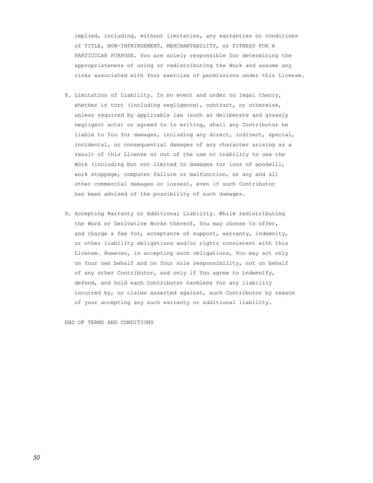implied, including, without limitation, any warranties or conditions of TITLE, NON-INFRINGEMENT, MERCHANTABILITY, or FITNESS FOR A PARTICULAR PURPOSE. You are solely responsible for determining the appropriateness of using or redistributing the Work and assume any risks associated with Your exercise of permissions under this License.

- 8. Limitation of Liability. In no event and under no legal theory, whether in tort (including negligence), contract, or otherwise, unless required by applicable law (such as deliberate and grossly negligent acts) or agreed to in writing, shall any Contributor be liable to You for damages, including any direct, indirect, special, incidental, or consequential damages of any character arising as a result of this License or out of the use or inability to use the Work (including but not limited to damages for loss of goodwill, work stoppage, computer failure or malfunction, or any and all other commercial damages or losses), even if such Contributor has been advised of the possibility of such damages.
- 9. Accepting Warranty or Additional Liability. While redistributing the Work or Derivative Works thereof, You may choose to offer, and charge a fee for, acceptance of support, warranty, indemnity, or other liability obligations and/or rights consistent with this License. However, in accepting such obligations, You may act only on Your own behalf and on Your sole responsibility, not on behalf of any other Contributor, and only if You agree to indemnify, defend, and hold each Contributor harmless for any liability incurred by, or claims asserted against, such Contributor by reason of your accepting any such warranty or additional liability.

END OF TERMS AND CONDITIONS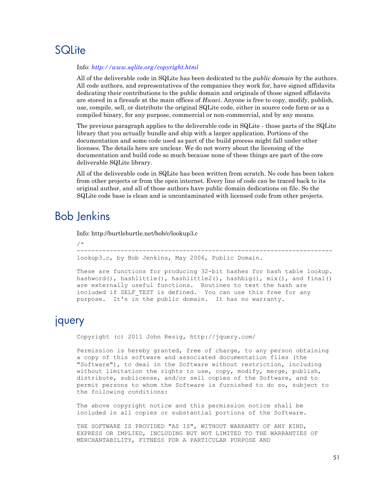## <span id="page-50-0"></span>**SQLite**

#### Info: *<http://www.sqlite.org/copyright.html>*

All of the deliverable code in SQLite has been dedicated to the *public domain* by the authors. All code authors, and representatives of the companies they work for, have signed affidavits dedicating their contributions to the public domain and originals of those signed affidavits are stored in a firesafe at the main offices of *Hwaci*. Anyone is free to copy, modify, publish, use, compile, sell, or distribute the original SQLite code, either in source code form or as a compiled binary, for any purpose, commercial or non-commercial, and by any means.

The previous paragraph applies to the deliverable code in SQLite - those parts of the SQLite library that you actually bundle and ship with a larger application. Portions of the documentation and some code used as part of the build process might fall under other licenses. The details here are unclear. We do not worry about the licensing of the documentation and build code so much because none of these things are part of the core deliverable SQLite library.

All of the deliverable code in SQLite has been written from scratch. No code has been taken from other projects or from the open internet. Every line of code can be traced back to its original author, and all of those authors have public domain dedications on file. So the SQLite code base is clean and is uncontaminated with licensed code from other projects.

## <span id="page-50-1"></span>Bob Jenkins

Info: http://burtleburtle.net/bob/c/lookup3.c

/\* --------------------------------------------------------------------- lookup3.c, by Bob Jenkins, May 2006, Public Domain.

These are functions for producing 32-bit hashes for hash table lookup. hashword(), hashlittle(), hashlittle2(), hashbig(), mix(), and final() are externally useful functions. Routines to test the hash are included if SELF TEST is defined. You can use this free for any purpose. It's in the public domain. It has no warranty.

## <span id="page-50-2"></span>jquery

Copyright (c) 2011 John Resig, http://jquery.com/

Permission is hereby granted, free of charge, to any person obtaining a copy of this software and associated documentation files (the "Software"), to deal in the Software without restriction, including without limitation the rights to use, copy, modify, merge, publish, distribute, sublicense, and/or sell copies of the Software, and to permit persons to whom the Software is furnished to do so, subject to the following conditions:

The above copyright notice and this permission notice shall be included in all copies or substantial portions of the Software.

THE SOFTWARE IS PROVIDED "AS IS", WITHOUT WARRANTY OF ANY KIND, EXPRESS OR IMPLIED, INCLUDING BUT NOT LIMITED TO THE WARRANTIES OF MERCHANTABILITY, FITNESS FOR A PARTICULAR PURPOSE AND